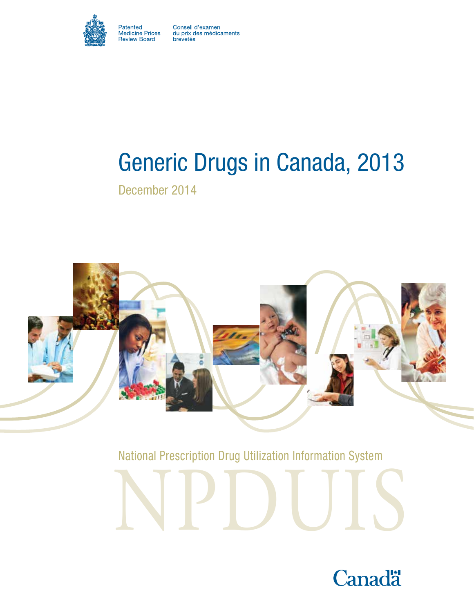

Patented<br>Medicine Prices<br>Review Board

Conseil d'examen<br>du prix des médicaments<br>brevetés

# Generic Drugs in Canada, 2013

December 2014



National Prescription Drug Utilization Information System



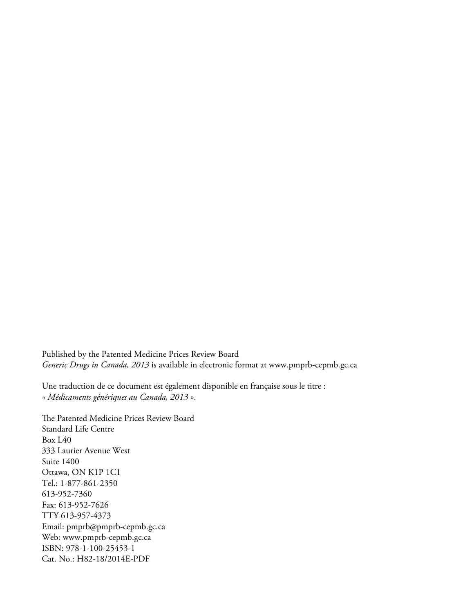Published by the Patented Medicine Prices Review Board *Generic Drugs in Canada, 2013* is available in electronic format at www.pmprb-cepmb.gc.ca

Une traduction de ce document est également disponible en française sous le titre : *« Médicaments génériques au Canada, 2013 »*.

The Patented Medicine Prices Review Board Standard Life Centre Box L40 333 Laurier Avenue West Suite 1400 Ottawa, ON K1P 1C1 Tel.: 1-877-861-2350 613-952-7360 Fax: 613-952-7626 TTY 613-957-4373 Email: pmprb@pmprb-cepmb.gc.ca Web: www.pmprb-cepmb.gc.ca ISBN: 978-1-100-25453-1 Cat. No.: H82-18/2014E-PDF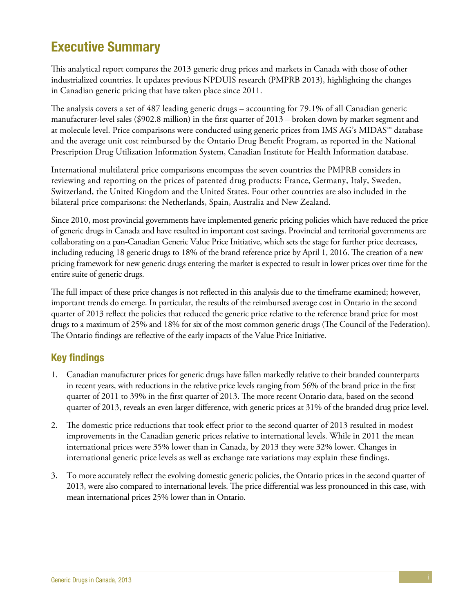# <span id="page-2-0"></span>Executive Summary

This analytical report compares the 2013 generic drug prices and markets in Canada with those of other industrialized countries. It updates previous NPDUIS research (PMPRB 2013), highlighting the changes in Canadian generic pricing that have taken place since 2011.

The analysis covers a set of 487 leading generic drugs – accounting for 79.1% of all Canadian generic manufacturer-level sales (\$902.8 million) in the first quarter of 2013 – broken down by market segment and at molecule level. Price comparisons were conducted using generic prices from IMS AG's MIDAS™ database and the average unit cost reimbursed by the Ontario Drug Benefit Program, as reported in the National Prescription Drug Utilization Information System, Canadian Institute for Health Information database.

International multilateral price comparisons encompass the seven countries the PMPRB considers in reviewing and reporting on the prices of patented drug products: France, Germany, Italy, Sweden, Switzerland, the United Kingdom and the United States. Four other countries are also included in the bilateral price comparisons: the Netherlands, Spain, Australia and New Zealand.

Since 2010, most provincial governments have implemented generic pricing policies which have reduced the price of generic drugs in Canada and have resulted in important cost savings. Provincial and territorial governments are collaborating on a pan-Canadian Generic Value Price Initiative, which sets the stage for further price decreases, including reducing 18 generic drugs to 18% of the brand reference price by April 1, 2016. The creation of a new pricing framework for new generic drugs entering the market is expected to result in lower prices over time for the entire suite of generic drugs.

The full impact of these price changes is not reflected in this analysis due to the timeframe examined; however, important trends do emerge. In particular, the results of the reimbursed average cost in Ontario in the second quarter of 2013 reflect the policies that reduced the generic price relative to the reference brand price for most drugs to a maximum of 25% and 18% for six of the most common generic drugs (The Council of the Federation). The Ontario findings are reflective of the early impacts of the Value Price Initiative.

### Key findings

- 1. Canadian manufacturer prices for generic drugs have fallen markedly relative to their branded counterparts in recent years, with reductions in the relative price levels ranging from 56% of the brand price in the first quarter of 2011 to 39% in the first quarter of 2013. The more recent Ontario data, based on the second quarter of 2013, reveals an even larger difference, with generic prices at 31% of the branded drug price level.
- 2. The domestic price reductions that took effect prior to the second quarter of 2013 resulted in modest improvements in the Canadian generic prices relative to international levels. While in 2011 the mean international prices were 35% lower than in Canada, by 2013 they were 32% lower. Changes in international generic price levels as well as exchange rate variations may explain these findings.
- 3. To more accurately reflect the evolving domestic generic policies, the Ontario prices in the second quarter of 2013, were also compared to international levels. The price differential was less pronounced in this case, with mean international prices 25% lower than in Ontario.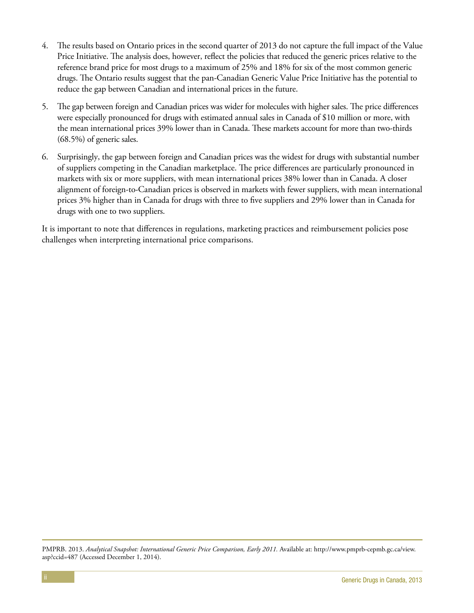- 4. The results based on Ontario prices in the second quarter of 2013 do not capture the full impact of the Value Price Initiative. The analysis does, however, reflect the policies that reduced the generic prices relative to the reference brand price for most drugs to a maximum of 25% and 18% for six of the most common generic drugs. The Ontario results suggest that the pan-Canadian Generic Value Price Initiative has the potential to reduce the gap between Canadian and international prices in the future.
- 5. The gap between foreign and Canadian prices was wider for molecules with higher sales. The price differences were especially pronounced for drugs with estimated annual sales in Canada of \$10 million or more, with the mean international prices 39% lower than in Canada. These markets account for more than two-thirds (68.5%) of generic sales.
- 6. Surprisingly, the gap between foreign and Canadian prices was the widest for drugs with substantial number of suppliers competing in the Canadian marketplace. The price differences are particularly pronounced in markets with six or more suppliers, with mean international prices 38% lower than in Canada. A closer alignment of foreign-to-Canadian prices is observed in markets with fewer suppliers, with mean international prices 3% higher than in Canada for drugs with three to five suppliers and 29% lower than in Canada for drugs with one to two suppliers.

It is important to note that differences in regulations, marketing practices and reimbursement policies pose challenges when interpreting international price comparisons.

PMPRB. 2013. *Analytical Snapshot: International Generic Price Comparison, Early 2011.* Available at: http://www.pmprb-cepmb.gc.ca/view. asp?ccid=487 (Accessed December 1, 2014).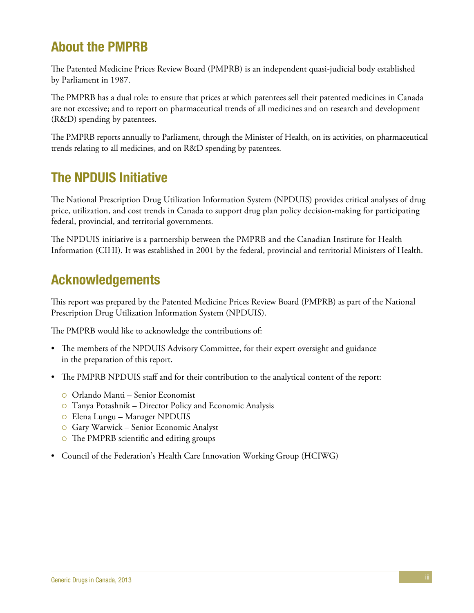# About the PMPRB

The Patented Medicine Prices Review Board (PMPRB) is an independent quasi-judicial body established by Parliament in 1987.

The PMPRB has a dual role: to ensure that prices at which patentees sell their patented medicines in Canada are not excessive; and to report on pharmaceutical trends of all medicines and on research and development (R&D) spending by patentees.

The PMPRB reports annually to Parliament, through the Minister of Health, on its activities, on pharmaceutical trends relating to all medicines, and on R&D spending by patentees.

# The NPDUIS Initiative

The National Prescription Drug Utilization Information System (NPDUIS) provides critical analyses of drug price, utilization, and cost trends in Canada to support drug plan policy decision-making for participating federal, provincial, and territorial governments.

The NPDUIS initiative is a partnership between the PMPRB and the Canadian Institute for Health Information (CIHI). It was established in 2001 by the federal, provincial and territorial Ministers of Health.

# Acknowledgements

This report was prepared by the Patented Medicine Prices Review Board (PMPRB) as part of the National Prescription Drug Utilization Information System (NPDUIS).

The PMPRB would like to acknowledge the contributions of:

- The members of the NPDUIS Advisory Committee, for their expert oversight and guidance in the preparation of this report.
- The PMPRB NPDUIS staff and for their contribution to the analytical content of the report:
	- { Orlando Manti Senior Economist
	- $\circ$  Tanya Potashnik Director Policy and Economic Analysis
	- { Elena Lungu Manager NPDUIS
	- { Gary Warwick Senior Economic Analyst
	- The PMPRB scientific and editing groups
- Council of the Federation's Health Care Innovation Working Group (HCIWG)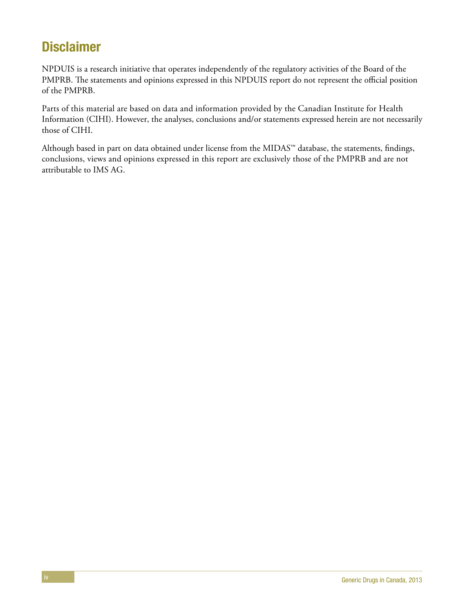# **Disclaimer**

NPDUIS is a research initiative that operates independently of the regulatory activities of the Board of the PMPRB. The statements and opinions expressed in this NPDUIS report do not represent the official position of the PMPRB.

Parts of this material are based on data and information provided by the Canadian Institute for Health Information (CIHI). However, the analyses, conclusions and/or statements expressed herein are not necessarily those of CIHI.

Although based in part on data obtained under license from the MIDAS™ database, the statements, findings, conclusions, views and opinions expressed in this report are exclusively those of the PMPRB and are not attributable to IMS AG.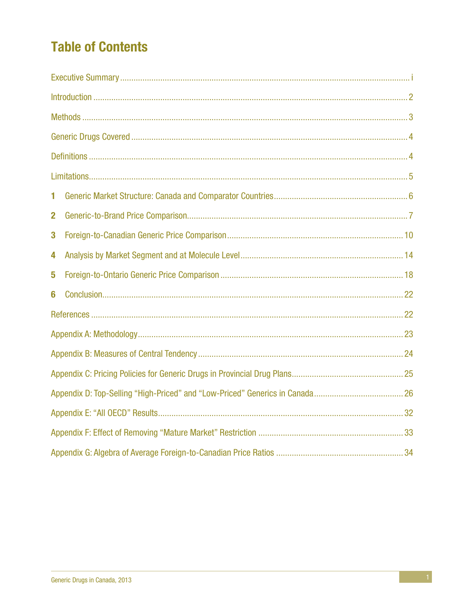# **Table of Contents**

| 1           |  |  |  |  |  |  |  |  |  |
|-------------|--|--|--|--|--|--|--|--|--|
| $\mathbf 2$ |  |  |  |  |  |  |  |  |  |
| 3           |  |  |  |  |  |  |  |  |  |
| 4           |  |  |  |  |  |  |  |  |  |
| 5           |  |  |  |  |  |  |  |  |  |
| 6           |  |  |  |  |  |  |  |  |  |
|             |  |  |  |  |  |  |  |  |  |
|             |  |  |  |  |  |  |  |  |  |
|             |  |  |  |  |  |  |  |  |  |
|             |  |  |  |  |  |  |  |  |  |
|             |  |  |  |  |  |  |  |  |  |
|             |  |  |  |  |  |  |  |  |  |
|             |  |  |  |  |  |  |  |  |  |
|             |  |  |  |  |  |  |  |  |  |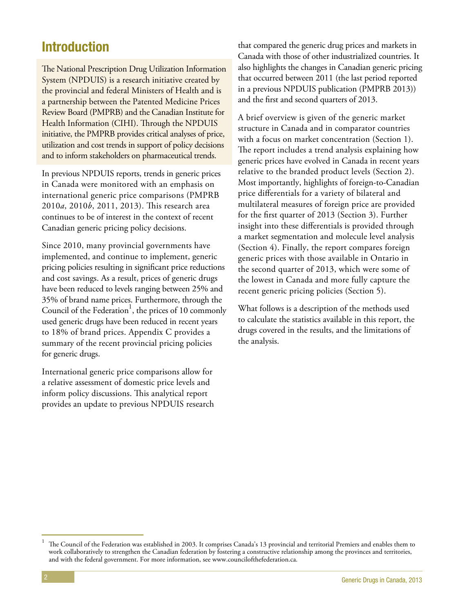## <span id="page-7-0"></span>Introduction

The National Prescription Drug Utilization Information System (NPDUIS) is a research initiative created by the provincial and federal Ministers of Health and is a partnership between the Patented Medicine Prices Review Board (PMPRB) and the Canadian Institute for Health Information (CIHI). Through the NPDUIS initiative, the PMPRB provides critical analyses of price, utilization and cost trends in support of policy decisions and to inform stakeholders on pharmaceutical trends.

In previous NPDUIS reports, trends in generic prices in Canada were monitored with an emphasis on international generic price comparisons (PMPRB 2010*a*, 2010*b*, 2011, 2013). This research area continues to be of interest in the context of recent Canadian generic pricing policy decisions.

Since 2010, many provincial governments have implemented, and continue to implement, generic pricing policies resulting in significant price reductions and cost savings. As a result, prices of generic drugs have been reduced to levels ranging between 25% and 35% of brand name prices. Furthermore, through the Council of the Federation<sup>1</sup>, the prices of 10 commonly used generic drugs have been reduced in recent years to 18% of brand prices. Appendix C provides a summary of the recent provincial pricing policies for generic drugs.

International generic price comparisons allow for a relative assessment of domestic price levels and inform policy discussions. This analytical report provides an update to previous NPDUIS research

that compared the generic drug prices and markets in Canada with those of other industrialized countries. It also highlights the changes in Canadian generic pricing that occurred between 2011 (the last period reported in a previous NPDUIS publication (PMPRB 2013)) and the first and second quarters of 2013.

A brief overview is given of the generic market structure in Canada and in comparator countries with a focus on market concentration (Section 1). The report includes a trend analysis explaining how generic prices have evolved in Canada in recent years relative to the branded product levels (Section 2). Most importantly, highlights of foreign-to-Canadian price differentials for a variety of bilateral and multilateral measures of foreign price are provided for the first quarter of 2013 (Section 3). Further insight into these differentials is provided through a market segmentation and molecule level analysis (Section 4). Finally, the report compares foreign generic prices with those available in Ontario in the second quarter of 2013, which were some of the lowest in Canada and more fully capture the recent generic pricing policies (Section 5).

What follows is a description of the methods used to calculate the statistics available in this report, the drugs covered in the results, and the limitations of the analysis.

<sup>1</sup> The Council of the Federation was established in 2003. It comprises Canada's 13 provincial and territorial Premiers and enables them to work collaboratively to strengthen the Canadian federation by fostering a constructive relationship among the provinces and territories, and with the federal government. For more information, see www.councilofthefederation.ca.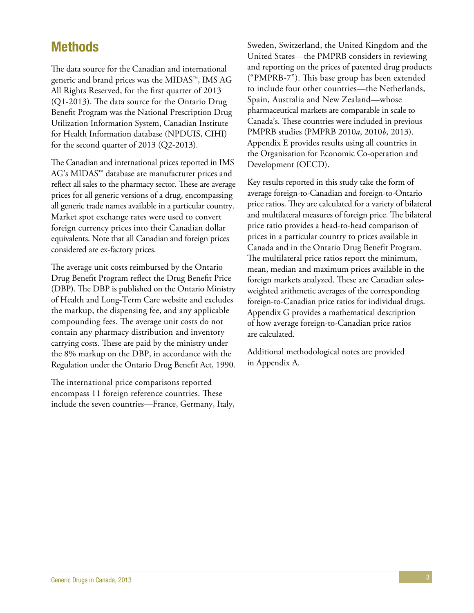### <span id="page-8-0"></span>Methods

The data source for the Canadian and international generic and brand prices was the MIDAS™, IMS AG All Rights Reserved, for the first quarter of 2013 (Q1-2013). The data source for the Ontario Drug Benefit Program was the National Prescription Drug Utilization Information System, Canadian Institute for Health Information database (NPDUIS, CIHI) for the second quarter of 2013 (Q2-2013).

The Canadian and international prices reported in IMS AG's MIDAS™ database are manufacturer prices and reflect all sales to the pharmacy sector. These are average prices for all generic versions of a drug, encompassing all generic trade names available in a particular country. Market spot exchange rates were used to convert foreign currency prices into their Canadian dollar equivalents. Note that all Canadian and foreign prices considered are ex-factory prices.

The average unit costs reimbursed by the Ontario Drug Benefit Program reflect the Drug Benefit Price (DBP). The DBP is published on the Ontario Ministry of Health and Long-Term Care website and excludes the markup, the dispensing fee, and any applicable compounding fees. The average unit costs do not contain any pharmacy distribution and inventory carrying costs. These are paid by the ministry under the 8% markup on the DBP, in accordance with the Regulation under the Ontario Drug Benefit Act, 1990.

The international price comparisons reported encompass 11 foreign reference countries. These include the seven countries—France, Germany, Italy, Sweden, Switzerland, the United Kingdom and the United States—the PMPRB considers in reviewing and reporting on the prices of patented drug products ("PMPRB-7"). This base group has been extended to include four other countries—the Netherlands, Spain, Australia and New Zealand—whose pharmaceutical markets are comparable in scale to Canada's. These countries were included in previous PMPRB studies (PMPRB 2010*a*, 2010*b*, 2013). Appendix E provides results using all countries in the Organisation for Economic Co-operation and Development (OECD).

Key results reported in this study take the form of average foreign-to-Canadian and foreign-to-Ontario price ratios. They are calculated for a variety of bilateral and multilateral measures of foreign price. The bilateral price ratio provides a head-to-head comparison of prices in a particular country to prices available in Canada and in the Ontario Drug Benefit Program. The multilateral price ratios report the minimum, mean, median and maximum prices available in the foreign markets analyzed. These are Canadian salesweighted arithmetic averages of the corresponding foreign-to-Canadian price ratios for individual drugs. Appendix G provides a mathematical description of how average foreign-to-Canadian price ratios are calculated.

Additional methodological notes are provided in Appendix A.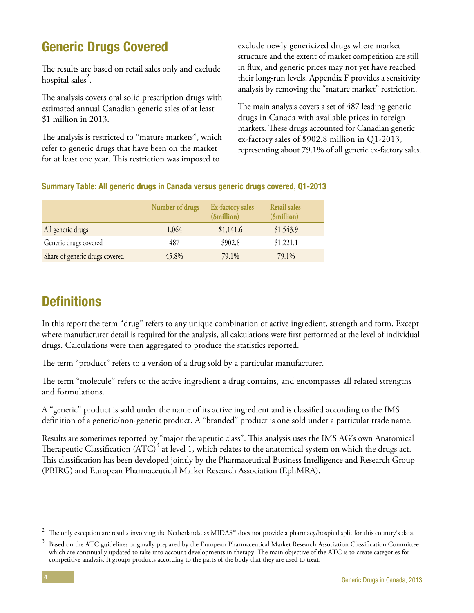# <span id="page-9-0"></span>Generic Drugs Covered

The results are based on retail sales only and exclude hospital sales $^{2}$ .

The analysis covers oral solid prescription drugs with estimated annual Canadian generic sales of at least \$1 million in 2013.

The analysis is restricted to "mature markets", which refer to generic drugs that have been on the market for at least one year. This restriction was imposed to

exclude newly genericized drugs where market structure and the extent of market competition are still in flux, and generic prices may not yet have reached their long-run levels. Appendix F provides a sensitivity analysis by removing the "mature market" restriction.

The main analysis covers a set of 487 leading generic drugs in Canada with available prices in foreign markets. These drugs accounted for Canadian generic ex-factory sales of \$902.8 million in Q1-2013, representing about 79.1% of all generic ex-factory sales.

### Summary Table: All generic drugs in Canada versus generic drugs covered, Q1-2013

|                                | Number of drugs | Ex-factory sales<br>\$million) | <b>Retail sales</b><br>(\$million) |
|--------------------------------|-----------------|--------------------------------|------------------------------------|
| All generic drugs              | 1,064           | \$1,141.6                      | \$1,543.9                          |
| Generic drugs covered          | 487             | \$902.8                        | \$1,221.1                          |
| Share of generic drugs covered | 45.8%           | 79.1%                          | 79.1%                              |

# **Definitions**

In this report the term "drug" refers to any unique combination of active ingredient, strength and form. Except where manufacturer detail is required for the analysis, all calculations were first performed at the level of individual drugs. Calculations were then aggregated to produce the statistics reported.

The term "product" refers to a version of a drug sold by a particular manufacturer.

The term "molecule" refers to the active ingredient a drug contains, and encompasses all related strengths and formulations.

A "generic" product is sold under the name of its active ingredient and is classified according to the IMS definition of a generic/non-generic product. A "branded" product is one sold under a particular trade name.

Results are sometimes reported by "major therapeutic class". This analysis uses the IMS AG's own Anatomical Therapeutic Classification  $\left( \text{ATC} \right)^3$  at level 1, which relates to the anatomical system on which the drugs act. This classification has been developed jointly by the Pharmaceutical Business Intelligence and Research Group (PBIRG) and European Pharmaceutical Market Research Association (EphMRA).

The only exception are results involving the Netherlands, as MIDAS<sup>™</sup> does not provide a pharmacy/hospital split for this country's data.

<sup>&</sup>lt;sup>3</sup> Based on the ATC guidelines originally prepared by the European Pharmaceutical Market Research Association Classification Committee, which are continually updated to take into account developments in therapy. The main objective of the ATC is to create categories for competitive analysis. It groups products according to the parts of the body that they are used to treat.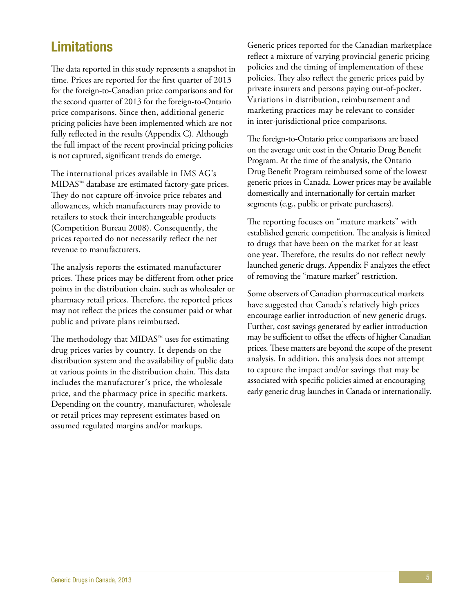# <span id="page-10-0"></span>Limitations

The data reported in this study represents a snapshot in time. Prices are reported for the first quarter of 2013 for the foreign-to-Canadian price comparisons and for the second quarter of 2013 for the foreign-to-Ontario price comparisons. Since then, additional generic pricing policies have been implemented which are not fully reflected in the results (Appendix C). Although the full impact of the recent provincial pricing policies is not captured, significant trends do emerge.

The international prices available in IMS AG's MIDAS™ database are estimated factory-gate prices. They do not capture off-invoice price rebates and allowances, which manufacturers may provide to retailers to stock their interchangeable products (Competition Bureau 2008). Consequently, the prices reported do not necessarily reflect the net revenue to manufacturers.

The analysis reports the estimated manufacturer prices. These prices may be different from other price points in the distribution chain, such as wholesaler or pharmacy retail prices. Therefore, the reported prices may not reflect the prices the consumer paid or what public and private plans reimbursed.

The methodology that MIDAS™ uses for estimating drug prices varies by country. It depends on the distribution system and the availability of public data at various points in the distribution chain. This data includes the manufacturer´s price, the wholesale price, and the pharmacy price in specific markets. Depending on the country, manufacturer, wholesale or retail prices may represent estimates based on assumed regulated margins and/or markups.

Generic prices reported for the Canadian marketplace reflect a mixture of varying provincial generic pricing policies and the timing of implementation of these policies. They also reflect the generic prices paid by private insurers and persons paying out-of-pocket. Variations in distribution, reimbursement and marketing practices may be relevant to consider in inter-jurisdictional price comparisons.

The foreign-to-Ontario price comparisons are based on the average unit cost in the Ontario Drug Benefit Program. At the time of the analysis, the Ontario Drug Benefit Program reimbursed some of the lowest generic prices in Canada. Lower prices may be available domestically and internationally for certain market segments (e.g., public or private purchasers).

The reporting focuses on "mature markets" with established generic competition. The analysis is limited to drugs that have been on the market for at least one year. Therefore, the results do not reflect newly launched generic drugs. Appendix F analyzes the effect of removing the "mature market" restriction.

Some observers of Canadian pharmaceutical markets have suggested that Canada's relatively high prices encourage earlier introduction of new generic drugs. Further, cost savings generated by earlier introduction may be sufficient to offset the effects of higher Canadian prices. These matters are beyond the scope of the present analysis. In addition, this analysis does not attempt to capture the impact and/or savings that may be associated with specific policies aimed at encouraging early generic drug launches in Canada or internationally.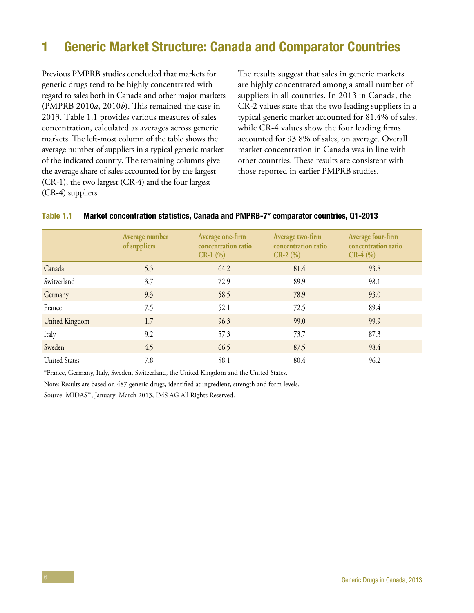# <span id="page-11-0"></span>1 Generic Market Structure: Canada and Comparator Countries

Previous PMPRB studies concluded that markets for generic drugs tend to be highly concentrated with regard to sales both in Canada and other major markets (PMPRB 2010*a*, 2010*b*). This remained the case in 2013. Table 1.1 provides various measures of sales concentration, calculated as averages across generic markets. The left-most column of the table shows the average number of suppliers in a typical generic market of the indicated country. The remaining columns give the average share of sales accounted for by the largest (CR-1), the two largest (CR-4) and the four largest (CR-4) suppliers.

The results suggest that sales in generic markets are highly concentrated among a small number of suppliers in all countries. In 2013 in Canada, the CR-2 values state that the two leading suppliers in a typical generic market accounted for 81.4% of sales, while CR-4 values show the four leading firms accounted for 93.8% of sales, on average. Overall market concentration in Canada was in line with other countries. These results are consistent with those reported in earlier PMPRB studies.

|                      | Average number<br>of suppliers | Average one-firm<br>concentration ratio<br>$CR-1$ (%) | Average two-firm<br>concentration ratio<br>$CR-2$ (%) | Average four-firm<br>concentration ratio<br>$CR-4$ (%) |
|----------------------|--------------------------------|-------------------------------------------------------|-------------------------------------------------------|--------------------------------------------------------|
| Canada               | 5.3                            | 64.2                                                  | 81.4                                                  | 93.8                                                   |
| Switzerland          | 3.7                            | 72.9                                                  | 89.9                                                  | 98.1                                                   |
| Germany              | 9.3                            | 58.5                                                  | 78.9                                                  | 93.0                                                   |
| France               | 7.5                            | 52.1                                                  | 72.5                                                  | 89.4                                                   |
| United Kingdom       | 1.7                            | 96.3                                                  | 99.0                                                  | 99.9                                                   |
| Italy                | 9.2                            | 57.3                                                  | 73.7                                                  | 87.3                                                   |
| Sweden               | 4.5                            | 66.5                                                  | 87.5                                                  | 98.4                                                   |
| <b>United States</b> | 7.8                            | 58.1                                                  | 80.4                                                  | 96.2                                                   |

#### Table 1.1 Market concentration statistics, Canada and PMPRB-7\* comparator countries, Q1-2013

\*France, Germany, Italy, Sweden, Switzerland, the United Kingdom and the United States.

Note: Results are based on 487 generic drugs, identified at ingredient, strength and form levels.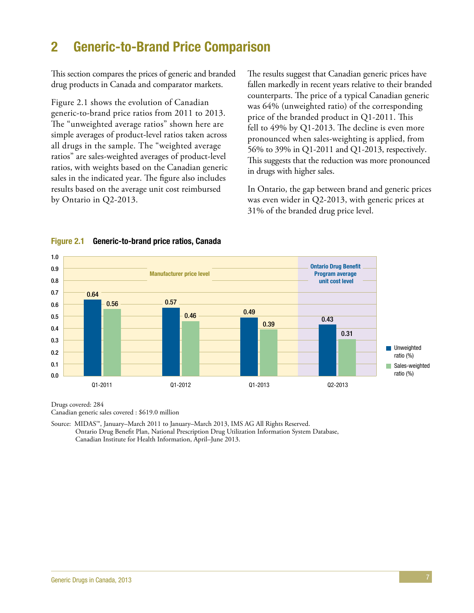# <span id="page-12-0"></span>2 Generic-to-Brand Price Comparison

This section compares the prices of generic and branded drug products in Canada and comparator markets.

Figure 2.1 shows the evolution of Canadian generic-to-brand price ratios from 2011 to 2013. The "unweighted average ratios" shown here are simple averages of product-level ratios taken across all drugs in the sample. The "weighted average ratios" are sales-weighted averages of product-level ratios, with weights based on the Canadian generic sales in the indicated year. The figure also includes results based on the average unit cost reimbursed by Ontario in Q2-2013.

The results suggest that Canadian generic prices have fallen markedly in recent years relative to their branded counterparts. The price of a typical Canadian generic was 64% (unweighted ratio) of the corresponding price of the branded product in Q1-2011. This fell to 49% by Q1-2013. The decline is even more pronounced when sales-weighting is applied, from 56% to 39% in Q1-2011 and Q1-2013, respectively. This suggests that the reduction was more pronounced in drugs with higher sales.

In Ontario, the gap between brand and generic prices was even wider in Q2-2013, with generic prices at 31% of the branded drug price level.



#### Figure 2.1 Generic-to-brand price ratios, Canada

Drugs covered: 284 Canadian generic sales covered : \$619.0 million

Source: MIDAS™, January–March 2011 to January–March 2013, IMS AG All Rights Reserved. Ontario Drug Benefit Plan, National Prescription Drug Utilization Information System Database, Canadian Institute for Health Information, April–June 2013.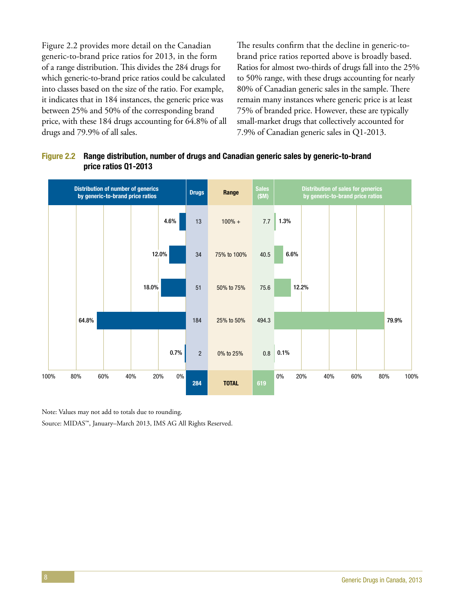Figure 2.2 provides more detail on the Canadian generic-to-brand price ratios for 2013, in the form of a range distribution. This divides the 284 drugs for which generic-to-brand price ratios could be calculated into classes based on the size of the ratio. For example, it indicates that in 184 instances, the generic price was between 25% and 50% of the corresponding brand price, with these 184 drugs accounting for 64.8% of all drugs and 79.9% of all sales.

The results confirm that the decline in generic-tobrand price ratios reported above is broadly based. Ratios for almost two-thirds of drugs fall into the 25% to 50% range, with these drugs accounting for nearly 80% of Canadian generic sales in the sample. There remain many instances where generic price is at least 75% of branded price. However, these are typically small-market drugs that collectively accounted for 7.9% of Canadian generic sales in Q1-2013.

### Figure 2.2 Range distribution, number of drugs and Canadian generic sales by generic-to-brand price ratios Q1-2013



Note: Values may not add to totals due to rounding.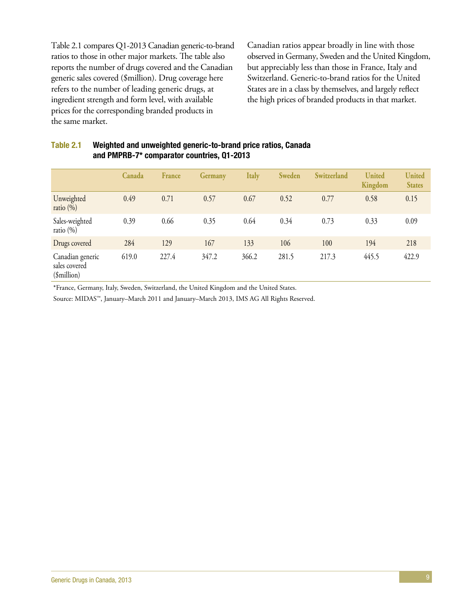Table 2.1 compares Q1-2013 Canadian generic-to-brand ratios to those in other major markets. The table also reports the number of drugs covered and the Canadian generic sales covered (\$million). Drug coverage here refers to the number of leading generic drugs, at ingredient strength and form level, with available prices for the corresponding branded products in the same market.

Canadian ratios appear broadly in line with those observed in Germany, Sweden and the United Kingdom, but appreciably less than those in France, Italy and Switzerland. Generic-to-brand ratios for the United States are in a class by themselves, and largely reflect the high prices of branded products in that market.

|                                                  | Canada | France | <b>Germany</b> | <b>Italy</b> | <b>Sweden</b> | Switzerland | <b>United</b><br>Kingdom | <b>United</b><br><b>States</b> |
|--------------------------------------------------|--------|--------|----------------|--------------|---------------|-------------|--------------------------|--------------------------------|
| Unweighted<br>ratio $(\%)$                       | 0.49   | 0.71   | 0.57           | 0.67         | 0.52          | 0.77        | 0.58                     | 0.15                           |
| Sales-weighted<br>ratio $(\%)$                   | 0.39   | 0.66   | 0.35           | 0.64         | 0.34          | 0.73        | 0.33                     | 0.09                           |
| Drugs covered                                    | 284    | 129    | 167            | 133          | 106           | 100         | 194                      | 218                            |
| Canadian generic<br>sales covered<br>(\$million) | 619.0  | 227.4  | 347.2          | 366.2        | 281.5         | 217.3       | 445.5                    | 422.9                          |

### Table 2.1 Weighted and unweighted generic-to-brand price ratios, Canada and PMPRB-7\* comparator countries, Q1-2013

\*France, Germany, Italy, Sweden, Switzerland, the United Kingdom and the United States.

Source: MIDAS™, January–March 2011 and January–March 2013, IMS AG All Rights Reserved.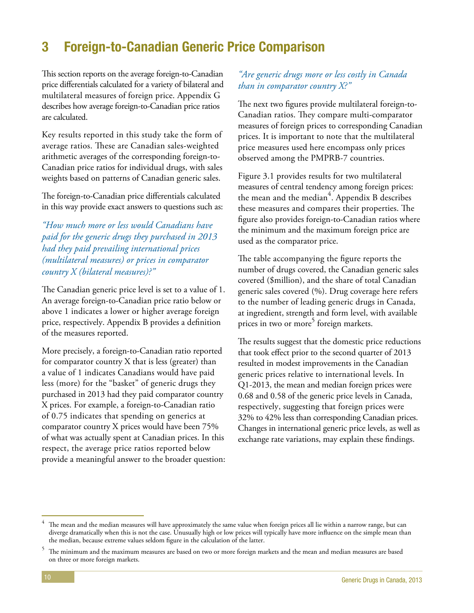# <span id="page-15-0"></span>3 Foreign-to-Canadian Generic Price Comparison

This section reports on the average foreign-to-Canadian price differentials calculated for a variety of bilateral and multilateral measures of foreign price. Appendix G describes how average foreign-to-Canadian price ratios are calculated.

Key results reported in this study take the form of average ratios. These are Canadian sales-weighted arithmetic averages of the corresponding foreign-to-Canadian price ratios for individual drugs, with sales weights based on patterns of Canadian generic sales.

The foreign-to-Canadian price differentials calculated in this way provide exact answers to questions such as:

*"How much more or less would Canadians have paid for the generic drugs they purchased in 2013 had they paid prevailing international prices (multilateral measures) or prices in comparator country X (bilateral measures)?"*

The Canadian generic price level is set to a value of 1. An average foreign-to-Canadian price ratio below or above 1 indicates a lower or higher average foreign price, respectively. Appendix B provides a definition of the measures reported.

More precisely, a foreign-to-Canadian ratio reported for comparator country X that is less (greater) than a value of 1 indicates Canadians would have paid less (more) for the "basket" of generic drugs they purchased in 2013 had they paid comparator country X prices. For example, a foreign-to-Canadian ratio of 0.75 indicates that spending on generics at comparator country X prices would have been 75% of what was actually spent at Canadian prices. In this respect, the average price ratios reported below provide a meaningful answer to the broader question:

### *"Are generic drugs more or less costly in Canada than in comparator country X?"*

The next two figures provide multilateral foreign-to-Canadian ratios. They compare multi-comparator measures of foreign prices to corresponding Canadian prices. It is important to note that the multilateral price measures used here encompass only prices observed among the PMPRB-7 countries.

Figure 3.1 provides results for two multilateral measures of central tendency among foreign prices: the mean and the median<sup>4</sup>. Appendix B describes these measures and compares their properties. The figure also provides foreign-to-Canadian ratios where the minimum and the maximum foreign price are used as the comparator price.

The table accompanying the figure reports the number of drugs covered, the Canadian generic sales covered (\$million), and the share of total Canadian generic sales covered (%). Drug coverage here refers to the number of leading generic drugs in Canada, at ingredient, strength and form level, with available prices in two or more<sup>5</sup> foreign markets.

The results suggest that the domestic price reductions that took effect prior to the second quarter of 2013 resulted in modest improvements in the Canadian generic prices relative to international levels. In Q1-2013, the mean and median foreign prices were 0.68 and 0.58 of the generic price levels in Canada, respectively, suggesting that foreign prices were 32% to 42% less than corresponding Canadian prices. Changes in international generic price levels, as well as exchange rate variations, may explain these findings.

 $^4$  The mean and the median measures will have approximately the same value when foreign prices all lie within a narrow range, but can diverge dramatically when this is not the case. Unusually high or low prices will typically have more influence on the simple mean than the median, because extreme values seldom figure in the calculation of the latter.

<sup>5</sup> The minimum and the maximum measures are based on two or more foreign markets and the mean and median measures are based on three or more foreign markets.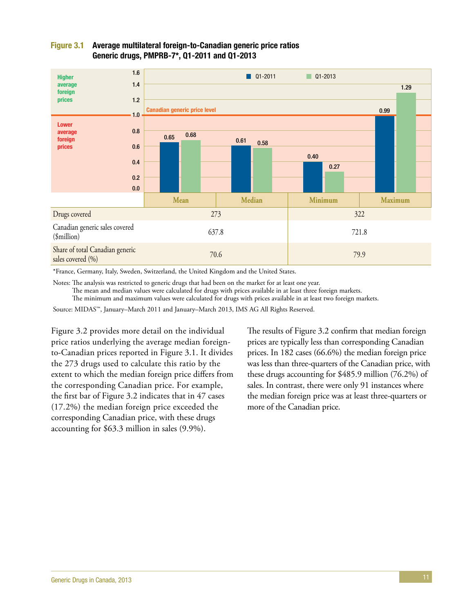

### Figure 3.1 Average multilateral foreign-to-Canadian generic price ratios Generic drugs, PMPRB-7\*, Q1-2011 and Q1-2013

\*France, Germany, Italy, Sweden, Switzerland, the United Kingdom and the United States.

Notes: The analysis was restricted to generic drugs that had been on the market for at least one year.

The mean and median values were calculated for drugs with prices available in at least three foreign markets.

The minimum and maximum values were calculated for drugs with prices available in at least two foreign markets.

Source: MIDAS™, January–March 2011 and January–March 2013, IMS AG All Rights Reserved.

Figure 3.2 provides more detail on the individual price ratios underlying the average median foreignto-Canadian prices reported in Figure 3.1. It divides the 273 drugs used to calculate this ratio by the extent to which the median foreign price differs from the corresponding Canadian price. For example, the first bar of Figure 3.2 indicates that in 47 cases (17.2%) the median foreign price exceeded the corresponding Canadian price, with these drugs accounting for \$63.3 million in sales (9.9%).

The results of Figure 3.2 confirm that median foreign prices are typically less than corresponding Canadian prices. In 182 cases (66.6%) the median foreign price was less than three-quarters of the Canadian price, with these drugs accounting for \$485.9 million (76.2%) of sales. In contrast, there were only 91 instances where the median foreign price was at least three-quarters or more of the Canadian price.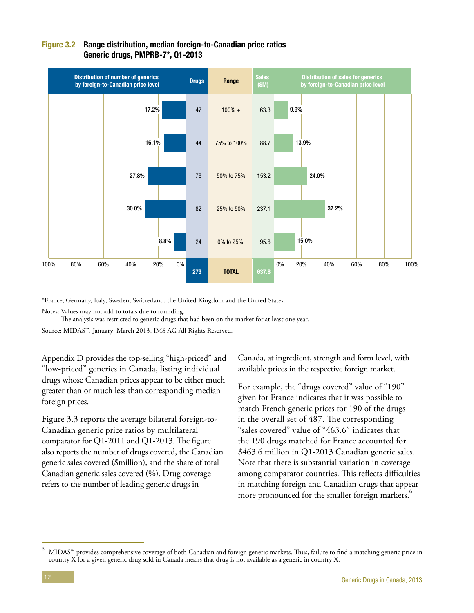

### Figure 3.2 Range distribution, median foreign-to-Canadian price ratios Generic drugs, PMPRB-7\*, Q1-2013

\*France, Germany, Italy, Sweden, Switzerland, the United Kingdom and the United States.

Notes: Values may not add to totals due to rounding.

The analysis was restricted to generic drugs that had been on the market for at least one year.

Source: MIDAS™, January–March 2013, IMS AG All Rights Reserved.

Appendix D provides the top-selling "high-priced" and "low-priced" generics in Canada, listing individual drugs whose Canadian prices appear to be either much greater than or much less than corresponding median foreign prices.

Figure 3.3 reports the average bilateral foreign-to-Canadian generic price ratios by multilateral comparator for Q1-2011 and Q1-2013. The figure also reports the number of drugs covered, the Canadian generic sales covered (\$million), and the share of total Canadian generic sales covered (%). Drug coverage refers to the number of leading generic drugs in

Canada, at ingredient, strength and form level, with available prices in the respective foreign market.

For example, the "drugs covered" value of "190" given for France indicates that it was possible to match French generic prices for 190 of the drugs in the overall set of 487. The corresponding "sales covered" value of "463.6" indicates that the 190 drugs matched for France accounted for \$463.6 million in Q1-2013 Canadian generic sales. Note that there is substantial variation in coverage among comparator countries. This reflects difficulties in matching foreign and Canadian drugs that appear more pronounced for the smaller foreign markets.<sup>6</sup>

 $^6$  MIDAS<sup>™</sup> provides comprehensive coverage of both Canadian and foreign generic markets. Thus, failure to find a matching generic price in country X for a given generic drug sold in Canada means that drug is not available as a generic in country X.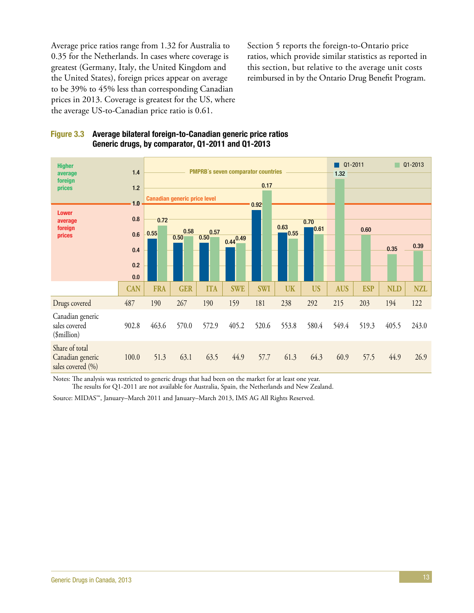Average price ratios range from 1.32 for Australia to 0.35 for the Netherlands. In cases where coverage is greatest (Germany, Italy, the United Kingdom and the United States), foreign prices appear on average to be 39% to 45% less than corresponding Canadian prices in 2013. Coverage is greatest for the US, where the average US-to-Canadian price ratio is 0.61.

Section 5 reports the foreign-to-Ontario price ratios, which provide similar statistics as reported in this section, but relative to the average unit costs reimbursed in by the Ontario Drug Benefit Program.



| <b>Higher</b><br>average                                | 1.4                                 |            | <b>PMPRB's seven comparator countries</b><br>0.17 |              |                       |            |              |           |            |            | $Q1 - 2011$<br>Q1-2013<br>1.32 |            |  |  |
|---------------------------------------------------------|-------------------------------------|------------|---------------------------------------------------|--------------|-----------------------|------------|--------------|-----------|------------|------------|--------------------------------|------------|--|--|
| foreign<br>prices                                       | 1.2                                 |            |                                                   |              |                       |            |              |           |            |            |                                |            |  |  |
|                                                         | <b>Canadian generic price level</b> |            |                                                   |              |                       |            |              |           |            |            |                                |            |  |  |
| <b>Lower</b><br>average                                 | 10<br>0.8                           | 0.72       |                                                   |              |                       | 0.92       |              | 0.70      |            |            |                                |            |  |  |
| foreign<br>prices                                       | 0.6                                 | 0.55       | 0.58<br>0.50                                      | 0.57<br>0.50 |                       |            | 0.63<br>0.55 | 0.61      |            | 0.60       |                                |            |  |  |
|                                                         | 0.4                                 |            |                                                   |              | $0.44\overline{0.49}$ |            |              |           |            |            | 0.35                           | 0.39       |  |  |
|                                                         | 0.2                                 |            |                                                   |              |                       |            |              |           |            |            |                                |            |  |  |
|                                                         | 0.0                                 |            |                                                   |              |                       |            |              |           |            |            |                                |            |  |  |
|                                                         | <b>CAN</b>                          | <b>FRA</b> | <b>GER</b>                                        | <b>ITA</b>   | <b>SWE</b>            | <b>SWI</b> | <b>UK</b>    | <b>US</b> | <b>AUS</b> | <b>ESP</b> | <b>NLD</b>                     | <b>NZL</b> |  |  |
| Drugs covered                                           | 487                                 | 190        | 267                                               | 190          | 159                   | 181        | 238          | 292       | 215        | 203        | 194                            | 122        |  |  |
| Canadian generic<br>sales covered<br>(\$million)        | 902.8                               | 463.6      | 570.0                                             | 572.9        | 405.2                 | 520.6      | 553.8        | 580.4     | 549.4      | 519.3      | 405.5                          | 243.0      |  |  |
| Share of total<br>Canadian generic<br>sales covered (%) | 100.0                               | 51.3       | 63.1                                              | 63.5         | 44.9                  | 57.7       | 61.3         | 64.3      | 60.9       | 57.5       | 44.9                           | 26.9       |  |  |

Notes: The analysis was restricted to generic drugs that had been on the market for at least one year.

The results for Q1-2011 are not available for Australia, Spain, the Netherlands and New Zealand.

Source: MIDAS™, January–March 2011 and January–March 2013, IMS AG All Rights Reserved.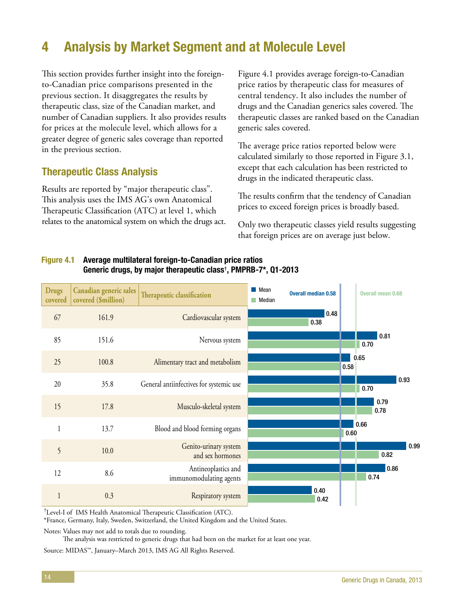# <span id="page-19-0"></span>4 Analysis by Market Segment and at Molecule Level

This section provides further insight into the foreignto-Canadian price comparisons presented in the previous section. It disaggregates the results by therapeutic class, size of the Canadian market, and number of Canadian suppliers. It also provides results for prices at the molecule level, which allows for a greater degree of generic sales coverage than reported in the previous section.

### Therapeutic Class Analysis

Results are reported by "major therapeutic class". This analysis uses the IMS AG's own Anatomical Therapeutic Classification (ATC) at level 1, which relates to the anatomical system on which the drugs act.

Figure 4.1 provides average foreign-to-Canadian price ratios by therapeutic class for measures of central tendency. It also includes the number of drugs and the Canadian generics sales covered. The therapeutic classes are ranked based on the Canadian generic sales covered.

The average price ratios reported below were calculated similarly to those reported in Figure 3.1, except that each calculation has been restricted to drugs in the indicated therapeutic class.

The results confirm that the tendency of Canadian prices to exceed foreign prices is broadly based.

Only two therapeutic classes yield results suggesting that foreign prices are on average just below.

### Figure 4.1 Average multilateral foreign-to-Canadian price ratios Generic drugs, by major therapeutic class**†** , PMPRB-7\*, Q1-2013

| <b>Drugs</b><br>covered | Canadian generic sales<br>covered (\$million) | Therapeutic classification                     | $\blacksquare$ Mean<br><b>Median</b> | <b>Overall median 0.58</b> |      | <b>Overall mean 0.68</b> |      |
|-------------------------|-----------------------------------------------|------------------------------------------------|--------------------------------------|----------------------------|------|--------------------------|------|
| 67                      | 161.9                                         | Cardiovascular system                          |                                      | 0.48<br>0.38               |      |                          |      |
| 85                      | 151.6                                         | Nervous system                                 |                                      |                            |      | 0.81<br>0.70             |      |
| 25                      | 100.8                                         | Alimentary tract and metabolism                |                                      |                            | 0.58 | 0.65                     |      |
| 20                      | 35.8                                          | General antiinfectives for systemic use        |                                      |                            |      | 0.70                     | 0.93 |
| 15                      | 17.8                                          | Musculo-skeletal system                        |                                      |                            |      | 0.79<br>0.78             |      |
| $\mathbf{1}$            | 13.7                                          | Blood and blood forming organs                 |                                      |                            | 0.60 | 0.66                     |      |
| 5                       | 10.0                                          | Genito-urinary system<br>and sex hormones      |                                      |                            |      | 0.82                     | 0.99 |
| 12                      | 8.6                                           | Antineoplastics and<br>immunomodulating agents |                                      |                            |      | 0.86<br>0.74             |      |
| $\mathbf{1}$            | 0.3                                           | Respiratory system                             |                                      | 0.40<br>0.42               |      |                          |      |

† Level-I of IMS Health Anatomical Therapeutic Classification (ATC).

\*France, Germany, Italy, Sweden, Switzerland, the United Kingdom and the United States.

Notes: Values may not add to totals due to rounding.

The analysis was restricted to generic drugs that had been on the market for at least one year.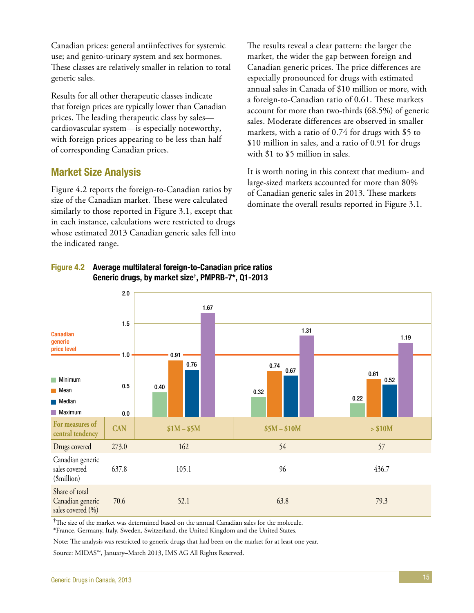Canadian prices: general antiinfectives for systemic use; and genito-urinary system and sex hormones. These classes are relatively smaller in relation to total generic sales.

Results for all other therapeutic classes indicate that foreign prices are typically lower than Canadian prices. The leading therapeutic class by sales cardiovascular system—is especially noteworthy, with foreign prices appearing to be less than half of corresponding Canadian prices.

### Market Size Analysis

Figure 4.2 reports the foreign-to-Canadian ratios by size of the Canadian market. These were calculated similarly to those reported in Figure 3.1, except that in each instance, calculations were restricted to drugs whose estimated 2013 Canadian generic sales fell into the indicated range.

The results reveal a clear pattern: the larger the market, the wider the gap between foreign and Canadian generic prices. The price differences are especially pronounced for drugs with estimated annual sales in Canada of \$10 million or more, with a foreign-to-Canadian ratio of 0.61. These markets account for more than two-thirds (68.5%) of generic sales. Moderate differences are observed in smaller markets, with a ratio of 0.74 for drugs with \$5 to \$10 million in sales, and a ratio of 0.91 for drugs with \$1 to \$5 million in sales.

It is worth noting in this context that medium- and large-sized markets accounted for more than 80% of Canadian generic sales in 2013. These markets dominate the overall results reported in Figure 3.1.



### Figure 4.2 Average multilateral foreign-to-Canadian price ratios Generic drugs, by market size**†** , PMPRB-7\*, Q1-2013

† The size of the market was determined based on the annual Canadian sales for the molecule. \*France, Germany, Italy, Sweden, Switzerland, the United Kingdom and the United States.

Note: The analysis was restricted to generic drugs that had been on the market for at least one year.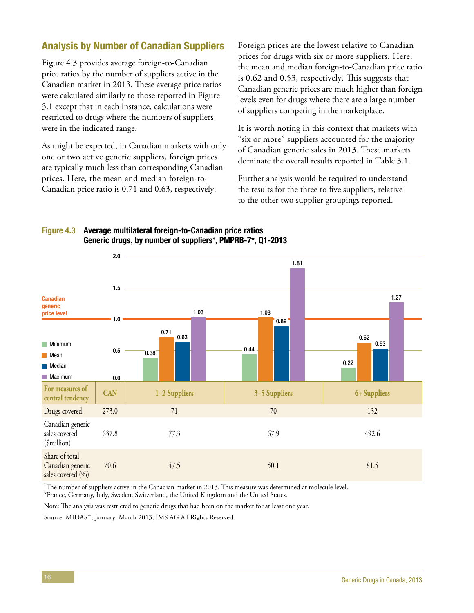### Analysis by Number of Canadian Suppliers

Figure 4.3 provides average foreign-to-Canadian price ratios by the number of suppliers active in the Canadian market in 2013. These average price ratios were calculated similarly to those reported in Figure 3.1 except that in each instance, calculations were restricted to drugs where the numbers of suppliers were in the indicated range.

As might be expected, in Canadian markets with only one or two active generic suppliers, foreign prices are typically much less than corresponding Canadian prices. Here, the mean and median foreign-to-Canadian price ratio is 0.71 and 0.63, respectively.

Foreign prices are the lowest relative to Canadian prices for drugs with six or more suppliers. Here, the mean and median foreign-to-Canadian price ratio is 0.62 and 0.53, respectively. This suggests that Canadian generic prices are much higher than foreign levels even for drugs where there are a large number of suppliers competing in the marketplace.

It is worth noting in this context that markets with "six or more" suppliers accounted for the majority of Canadian generic sales in 2013. These markets dominate the overall results reported in Table 3.1.

Further analysis would be required to understand the results for the three to five suppliers, relative to the other two supplier groupings reported.

### Figure 4.3 Average multilateral foreign-to-Canadian price ratios Generic drugs, by number of suppliers**†** , PMPRB-7\*, Q1-2013



<sup>†</sup>The number of suppliers active in the Canadian market in 2013. This measure was determined at molecule level. \*France, Germany, Italy, Sweden, Switzerland, the United Kingdom and the United States.

Note: The analysis was restricted to generic drugs that had been on the market for at least one year.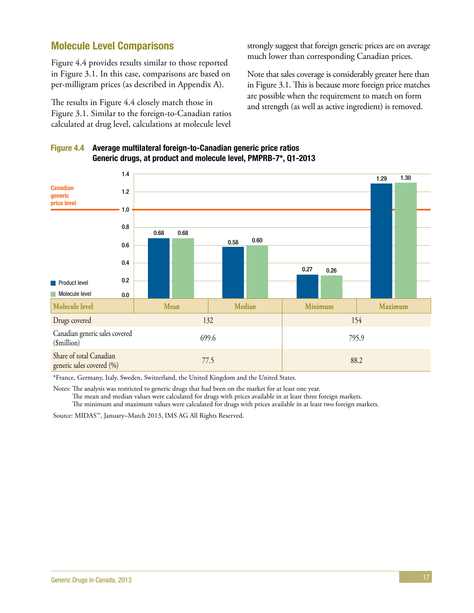### Molecule Level Comparisons

Figure 4.4 provides results similar to those reported in Figure 3.1. In this case, comparisons are based on per-milligram prices (as described in Appendix A).

The results in Figure 4.4 closely match those in Figure 3.1. Similar to the foreign-to-Canadian ratios calculated at drug level, calculations at molecule level

strongly suggest that foreign generic prices are on average much lower than corresponding Canadian prices.

Note that sales coverage is considerably greater here than in Figure 3.1. This is because more foreign price matches are possible when the requirement to match on form and strength (as well as active ingredient) is removed.



### Figure 4.4 Average multilateral foreign-to-Canadian generic price ratios Generic drugs, at product and molecule level, PMPRB-7\*, Q1-2013

\*France, Germany, Italy, Sweden, Switzerland, the United Kingdom and the United States.

Notes: The analysis was restricted to generic drugs that had been on the market for at least one year.

The mean and median values were calculated for drugs with prices available in at least three foreign markets. The minimum and maximum values were calculated for drugs with prices available in at least two foreign markets.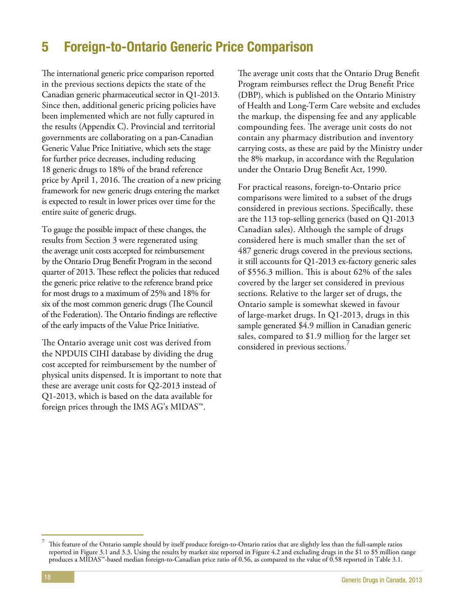# <span id="page-23-0"></span>5 Foreign-to-Ontario Generic Price Comparison

The international generic price comparison reported in the previous sections depicts the state of the Canadian generic pharmaceutical sector in Q1-2013. Since then, additional generic pricing policies have been implemented which are not fully captured in the results (Appendix C). Provincial and territorial governments are collaborating on a pan-Canadian Generic Value Price Initiative, which sets the stage for further price decreases, including reducing 18 generic drugs to 18% of the brand reference price by April 1, 2016. The creation of a new pricing framework for new generic drugs entering the market is expected to result in lower prices over time for the entire suite of generic drugs.

To gauge the possible impact of these changes, the results from Section 3 were regenerated using the average unit costs accepted for reimbursement by the Ontario Drug Benefit Program in the second quarter of 2013. These reflect the policies that reduced the generic price relative to the reference brand price for most drugs to a maximum of 25% and 18% for six of the most common generic drugs (The Council of the Federation). The Ontario findings are reflective of the early impacts of the Value Price Initiative.

The Ontario average unit cost was derived from the NPDUIS CIHI database by dividing the drug cost accepted for reimbursement by the number of physical units dispensed. It is important to note that these are average unit costs for Q2-2013 instead of Q1-2013, which is based on the data available for foreign prices through the IMS AG's MIDAS™.

The average unit costs that the Ontario Drug Benefit Program reimburses reflect the Drug Benefit Price (DBP), which is published on the Ontario Ministry of Health and Long-Term Care website and excludes the markup, the dispensing fee and any applicable compounding fees. The average unit costs do not contain any pharmacy distribution and inventory carrying costs, as these are paid by the Ministry under the 8% markup, in accordance with the Regulation under the Ontario Drug Benefit Act, 1990.

For practical reasons, foreign-to-Ontario price comparisons were limited to a subset of the drugs considered in previous sections. Specifically, these are the 113 top-selling generics (based on Q1-2013 Canadian sales). Although the sample of drugs considered here is much smaller than the set of 487 generic drugs covered in the previous sections, it still accounts for Q1-2013 ex-factory generic sales of \$556.3 million. This is about 62% of the sales covered by the larger set considered in previous sections. Relative to the larger set of drugs, the Ontario sample is somewhat skewed in favour of large-market drugs. In Q1-2013, drugs in this sample generated \$4.9 million in Canadian generic sales, compared to \$1.9 million for the larger set considered in previous sections.

This feature of the Ontario sample should by itself produce foreign-to-Ontario ratios that are slightly less than the full-sample ratios reported in Figure 3.1 and 3.3. Using the results by market size reported in Figure 4.2 and excluding drugs in the \$1 to \$5 million range produces a MIDAS™-based median foreign-to-Canadian price ratio of 0.56, as compared to the value of 0.58 reported in Table 3.1.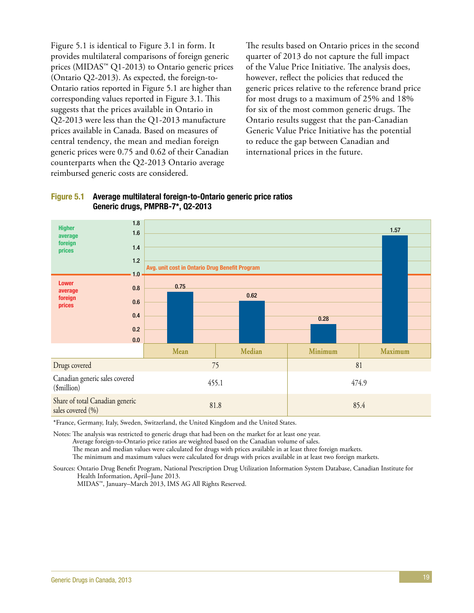Figure 5.1 is identical to Figure 3.1 in form. It provides multilateral comparisons of foreign generic prices (MIDAS™ Q1-2013) to Ontario generic prices (Ontario Q2-2013). As expected, the foreign-to-Ontario ratios reported in Figure 5.1 are higher than corresponding values reported in Figure 3.1. This suggests that the prices available in Ontario in Q2-2013 were less than the Q1-2013 manufacture prices available in Canada. Based on measures of central tendency, the mean and median foreign generic prices were 0.75 and 0.62 of their Canadian counterparts when the Q2-2013 Ontario average reimbursed generic costs are considered.

The results based on Ontario prices in the second quarter of 2013 do not capture the full impact of the Value Price Initiative. The analysis does, however, reflect the policies that reduced the generic prices relative to the reference brand price for most drugs to a maximum of 25% and 18% for six of the most common generic drugs. The Ontario results suggest that the pan-Canadian Generic Value Price Initiative has the potential to reduce the gap between Canadian and international prices in the future.





\*France, Germany, Italy, Sweden, Switzerland, the United Kingdom and the United States.

Notes: The analysis was restricted to generic drugs that had been on the market for at least one year.

Average foreign-to-Ontario price ratios are weighted based on the Canadian volume of sales.

The mean and median values were calculated for drugs with prices available in at least three foreign markets.

The minimum and maximum values were calculated for drugs with prices available in at least two foreign markets.

Sources: Ontario Drug Benefit Program, National Prescription Drug Utilization Information System Database, Canadian Institute for Health Information, April–June 2013.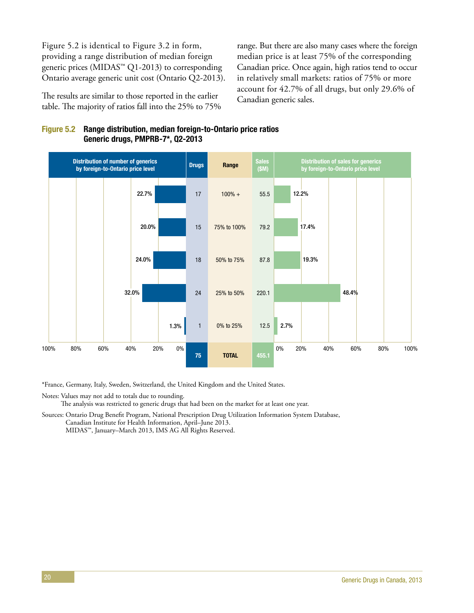Figure 5.2 is identical to Figure 3.2 in form, providing a range distribution of median foreign generic prices (MIDAS™ Q1-2013) to corresponding Ontario average generic unit cost (Ontario Q2-2013).

The results are similar to those reported in the earlier table. The majority of ratios fall into the 25% to 75% range. But there are also many cases where the foreign median price is at least 75% of the corresponding Canadian price. Once again, high ratios tend to occur in relatively small markets: ratios of 75% or more account for 42.7% of all drugs, but only 29.6% of Canadian generic sales.





\*France, Germany, Italy, Sweden, Switzerland, the United Kingdom and the United States.

Notes: Values may not add to totals due to rounding. The analysis was restricted to generic drugs that had been on the market for at least one year.

Sources: Ontario Drug Benefit Program, National Prescription Drug Utilization Information System Database, Canadian Institute for Health Information, April–June 2013.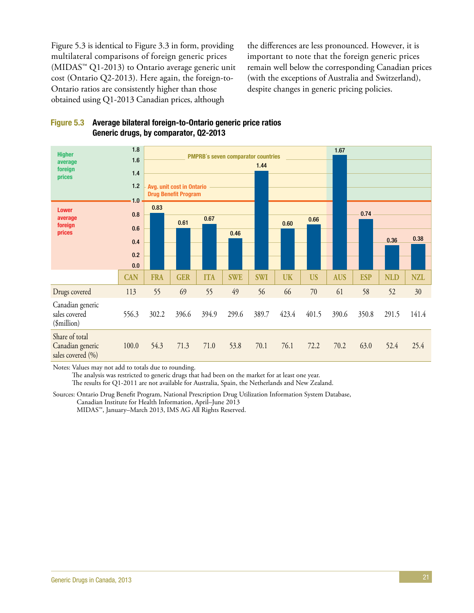Figure 5.3 is identical to Figure 3.3 in form, providing multilateral comparisons of foreign generic prices  $(MIDAS<sup>TM</sup> Q1-2013)$  to Ontario average generic unit cost (Ontario Q2-2013). Here again, the foreign-to-Ontario ratios are consistently higher than those obtained using Q1-2013 Canadian prices, although

the differences are less pronounced. However, it is important to note that the foreign generic prices remain well below the corresponding Canadian prices (with the exceptions of Australia and Switzerland), despite changes in generic pricing policies.





Notes: Values may not add to totals due to rounding.

The analysis was restricted to generic drugs that had been on the market for at least one year.

The results for Q1-2011 are not available for Australia, Spain, the Netherlands and New Zealand.

Sources: Ontario Drug Benefit Program, National Prescription Drug Utilization Information System Database, Canadian Institute for Health Information, April–June 2013 MIDAS™, January–March 2013, IMS AG All Rights Reserved.

<sup>21</sup> Generic Drugs in Canada, 2013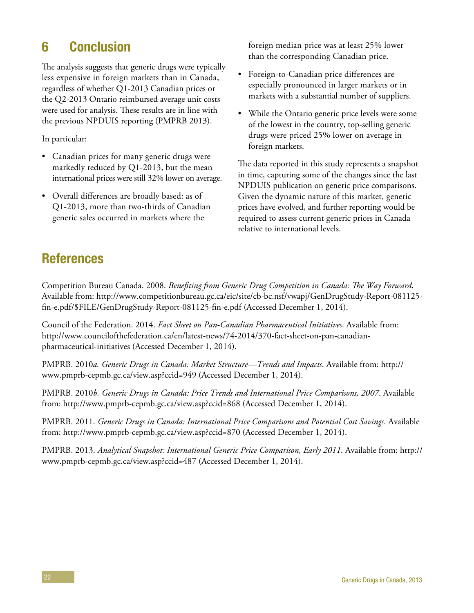# <span id="page-27-0"></span>6 Conclusion

The analysis suggests that generic drugs were typically less expensive in foreign markets than in Canada, regardless of whether Q1-2013 Canadian prices or the Q2-2013 Ontario reimbursed average unit costs were used for analysis. These results are in line with the previous NPDUIS reporting (PMPRB 2013).

In particular:

- Canadian prices for many generic drugs were markedly reduced by Q1-2013, but the mean international prices were still 32% lower on average.
- Overall differences are broadly based: as of Q1-2013, more than two-thirds of Canadian generic sales occurred in markets where the

foreign median price was at least 25% lower than the corresponding Canadian price.

- Foreign-to-Canadian price differences are especially pronounced in larger markets or in markets with a substantial number of suppliers.
- While the Ontario generic price levels were some of the lowest in the country, top-selling generic drugs were priced 25% lower on average in foreign markets.

The data reported in this study represents a snapshot in time, capturing some of the changes since the last NPDUIS publication on generic price comparisons. Given the dynamic nature of this market, generic prices have evolved, and further reporting would be required to assess current generic prices in Canada relative to international levels.

# References

Competition Bureau Canada. 2008. *Benefiting from Generic Drug Competition in Canada: The Way Forward*. Available from: http://www.competitionbureau.gc.ca/eic/site/cb-bc.nsf/vwapj/GenDrugStudy-Report-081125 fin-e.pdf/\$FILE/GenDrugStudy-Report-081125-fin-e.pdf (Accessed December 1, 2014).

Council of the Federation. 2014. *Fact Sheet on Pan-Canadian Pharmaceutical Initiatives*. Available from: http://www.councilofthefederation.ca/en/latest-news/74-2014/370-fact-sheet-on-pan-canadianpharmaceutical-initiatives (Accessed December 1, 2014).

PMPRB. 2010*a. Generic Drugs in Canada: Market Structure—Trends and Impacts*. Available from: http:// www.pmprb-cepmb.gc.ca/view.asp?ccid=949 (Accessed December 1, 2014).

PMPRB. 2010*b. Generic Drugs in Canada: Price Trends and International Price Comparisons, 2007*. Available from: http://www.pmprb-cepmb.gc.ca/view.asp?ccid=868 (Accessed December 1, 2014).

PMPRB. 2011. *Generic Drugs in Canada: International Price Comparisons and Potential Cost Savings*. Available from: http://www.pmprb-cepmb.gc.ca/view.asp?ccid=870 (Accessed December 1, 2014).

PMPRB. 2013. *Analytical Snapshot: International Generic Price Comparison, Early 2011*. Available from: http:// www.pmprb-cepmb.gc.ca/view.asp?ccid=487 (Accessed December 1, 2014).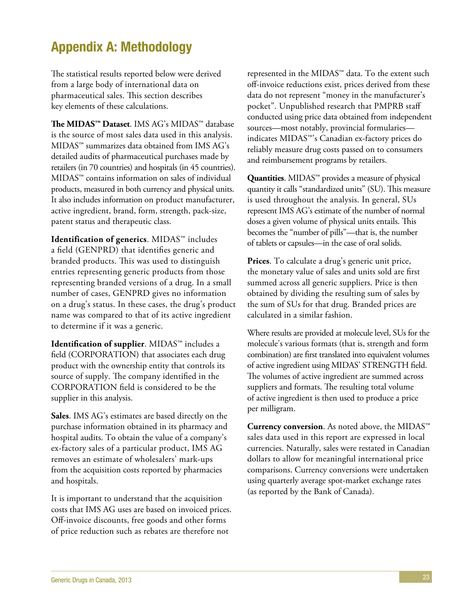# <span id="page-28-0"></span>Appendix A: Methodology

The statistical results reported below were derived from a large body of international data on pharmaceutical sales. This section describes key elements of these calculations.

**The MIDAS™ Dataset**. IMS AG's MIDAS™ database is the source of most sales data used in this analysis. MIDAS™ summarizes data obtained from IMS AG's detailed audits of pharmaceutical purchases made by retailers (in 70 countries) and hospitals (in 45 countries). MIDAS™ contains information on sales of individual products, measured in both currency and physical units. It also includes information on product manufacturer, active ingredient, brand, form, strength, pack-size, patent status and therapeutic class.

**Identification of generics**. MIDAS™ includes a field (GENPRD) that identifies generic and branded products. This was used to distinguish entries representing generic products from those representing branded versions of a drug. In a small number of cases, GENPRD gives no information on a drug's status. In these cases, the drug's product name was compared to that of its active ingredient to determine if it was a generic.

**Identification of supplier**. MIDAS™ includes a field (CORPORATION) that associates each drug product with the ownership entity that controls its source of supply. The company identified in the CORPORATION field is considered to be the supplier in this analysis.

**Sales**. IMS AG's estimates are based directly on the purchase information obtained in its pharmacy and hospital audits. To obtain the value of a company's ex-factory sales of a particular product, IMS AG removes an estimate of wholesalers' mark-ups from the acquisition costs reported by pharmacies and hospitals.

It is important to understand that the acquisition costs that IMS AG uses are based on invoiced prices. Off-invoice discounts, free goods and other forms of price reduction such as rebates are therefore not

represented in the MIDAS™ data. To the extent such off-invoice reductions exist, prices derived from these data do not represent "money in the manufacturer's pocket". Unpublished research that PMPRB staff conducted using price data obtained from independent sources—most notably, provincial formularies indicates MIDAS™'s Canadian ex-factory prices do reliably measure drug costs passed on to consumers and reimbursement programs by retailers.

**Quantities**. MIDAS™ provides a measure of physical quantity it calls "standardized units" (SU). This measure is used throughout the analysis. In general, SUs represent IMS AG's estimate of the number of normal doses a given volume of physical units entails. This becomes the "number of pills"—that is, the number of tablets or capsules—in the case of oral solids.

**Prices**. To calculate a drug's generic unit price, the monetary value of sales and units sold are first summed across all generic suppliers. Price is then obtained by dividing the resulting sum of sales by the sum of SUs for that drug. Branded prices are calculated in a similar fashion.

Where results are provided at molecule level, SUs for the molecule's various formats (that is, strength and form combination) are first translated into equivalent volumes of active ingredient using MIDAS' STRENGTH field. The volumes of active ingredient are summed across suppliers and formats. The resulting total volume of active ingredient is then used to produce a price per milligram.

**Currency conversion**. As noted above, the MIDAS™ sales data used in this report are expressed in local currencies. Naturally, sales were restated in Canadian dollars to allow for meaningful international price comparisons. Currency conversions were undertaken using quarterly average spot-market exchange rates (as reported by the Bank of Canada).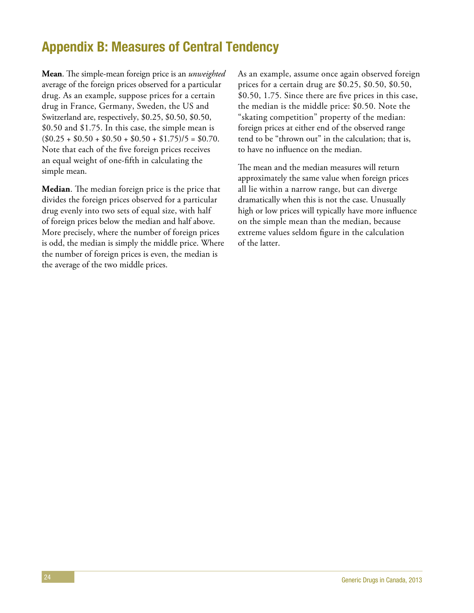# <span id="page-29-0"></span>Appendix B: Measures of Central Tendency

**Mean**. The simple-mean foreign price is an *unweighted* average of the foreign prices observed for a particular drug. As an example, suppose prices for a certain drug in France, Germany, Sweden, the US and Switzerland are, respectively, \$0.25, \$0.50, \$0.50, \$0.50 and \$1.75. In this case, the simple mean is  $($0.25 + $0.50 + $0.50 + $0.50 + $1.75)/5 = $0.70$ . Note that each of the five foreign prices receives an equal weight of one-fifth in calculating the simple mean.

**Median**. The median foreign price is the price that divides the foreign prices observed for a particular drug evenly into two sets of equal size, with half of foreign prices below the median and half above. More precisely, where the number of foreign prices is odd, the median is simply the middle price. Where the number of foreign prices is even, the median is the average of the two middle prices.

As an example, assume once again observed foreign prices for a certain drug are \$0.25, \$0.50, \$0.50, \$0.50, 1.75. Since there are five prices in this case, the median is the middle price: \$0.50. Note the "skating competition" property of the median: foreign prices at either end of the observed range tend to be "thrown out" in the calculation; that is, to have no influence on the median.

The mean and the median measures will return approximately the same value when foreign prices all lie within a narrow range, but can diverge dramatically when this is not the case. Unusually high or low prices will typically have more influence on the simple mean than the median, because extreme values seldom figure in the calculation of the latter.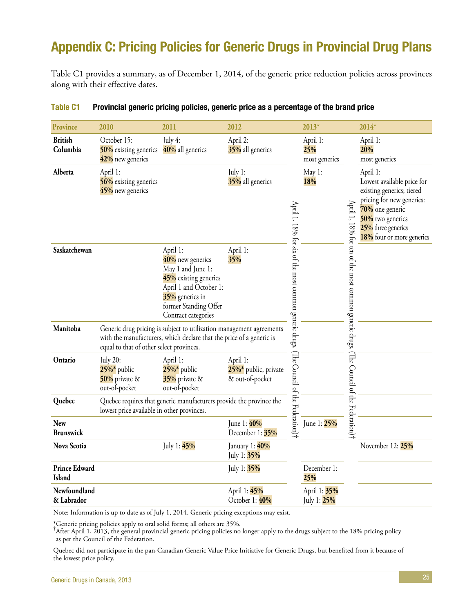# <span id="page-30-0"></span>Appendix C: Pricing Policies for Generic Drugs in Provincial Drug Plans

Table C1 provides a summary, as of December 1, 2014, of the generic price reduction policies across provinces along with their effective dates.

| Province                       | 2010                                                                    | 2011                                                                                                                                                                    | 2012                                                |                                                        | $2013*$                          |                                              | 2014*                                                                                                                                                                                      |
|--------------------------------|-------------------------------------------------------------------------|-------------------------------------------------------------------------------------------------------------------------------------------------------------------------|-----------------------------------------------------|--------------------------------------------------------|----------------------------------|----------------------------------------------|--------------------------------------------------------------------------------------------------------------------------------------------------------------------------------------------|
| <b>British</b><br>Columbia     | October 15:<br>50% existing generics<br>42% new generics                | July 4:<br>40% all generics                                                                                                                                             | April 2:<br>35% all generics                        |                                                        | April 1:<br>25%<br>most generics |                                              | April 1:<br>20%<br>most generics                                                                                                                                                           |
| Alberta                        | April 1:<br>56% existing generics<br>45% new generics                   |                                                                                                                                                                         | July 1:<br>35% all generics                         |                                                        | May 1:<br>18%                    | April<br>$\overline{\phantom{0}}$<br>18% for | April 1:<br>Lowest available price for<br>existing generics; tiered<br>pricing for new generics:<br>70% one generic<br>50% two generics<br>25% three generics<br>18% four or more generics |
| Saskatchewan                   |                                                                         | April 1:<br>40% new generics<br>May 1 and June 1:<br>45% existing generics<br>April 1 and October 1:<br>35% generics in<br>former Standing Offer<br>Contract categories | April 1:<br>35%                                     | April 1, 18% for six of the most common generic drugs. |                                  | ten of the most common generic drugs.        |                                                                                                                                                                                            |
| Manitoba                       | equal to that of other select provinces.                                | Generic drug pricing is subject to utilization management agreements<br>with the manufacturers, which declare that the price of a generic is                            |                                                     |                                                        |                                  |                                              |                                                                                                                                                                                            |
| Ontario                        | <b>July 20:</b><br>$25\%$ * public<br>50% private $\&$<br>out-of-pocket | April 1:<br>$25\%$ public<br>35% private &<br>out-of-pocket                                                                                                             | April 1:<br>25%* public, private<br>& out-of-pocket | (The Council of the Federation)                        |                                  | (The Council of the Federation)              |                                                                                                                                                                                            |
| Quebec                         | lowest price available in other provinces.                              | Quebec requires that generic manufacturers provide the province the                                                                                                     |                                                     |                                                        |                                  |                                              |                                                                                                                                                                                            |
| <b>New</b><br><b>Brunswick</b> |                                                                         |                                                                                                                                                                         | June 1: 40%<br>December 1: 35%                      |                                                        | June 1: 25%                      |                                              |                                                                                                                                                                                            |
| Nova Scotia                    |                                                                         | July 1: 45%                                                                                                                                                             | January 1: 40%<br>July 1: 35%                       |                                                        |                                  |                                              | November 12: 25%                                                                                                                                                                           |
| <b>Prince Edward</b><br>Island |                                                                         |                                                                                                                                                                         | July 1: 35%                                         |                                                        | December 1:<br>25%               |                                              |                                                                                                                                                                                            |
| Newfoundland<br>& Labrador     |                                                                         |                                                                                                                                                                         | April 1: 45%<br>October 1: 40%                      |                                                        | April 1: 35%<br>July 1: 25%      |                                              |                                                                                                                                                                                            |

#### Table C1 Provincial generic pricing policies, generic price as a percentage of the brand price

Note: Information is up to date as of July 1, 2014. Generic pricing exceptions may exist.

\*Generic pricing policies apply to oral solid forms; all others are 35%.

† After April 1, 2013, the general provincial generic pricing policies no longer apply to the drugs subject to the 18% pricing policy as per the Council of the Federation.

Quebec did not participate in the pan-Canadian Generic Value Price Initiative for Generic Drugs, but benefited from it because of the lowest price policy.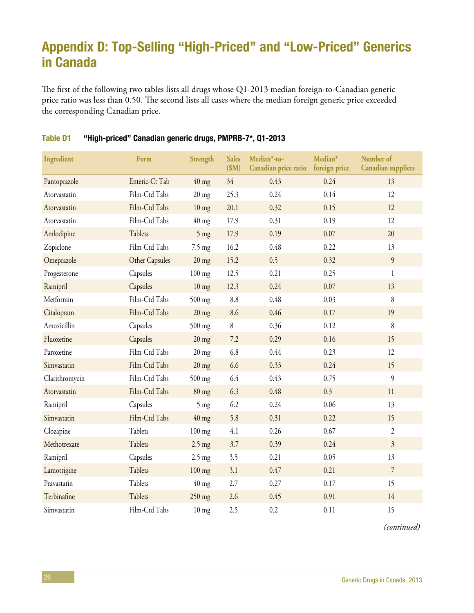# <span id="page-31-0"></span>Appendix D: Top-Selling "High-Priced" and "Low-Priced" Generics in Canada

The first of the following two tables lists all drugs whose Q1-2013 median foreign-to-Canadian generic price ratio was less than 0.50. The second lists all cases where the median foreign generic price exceeded the corresponding Canadian price.

| Ingredient     | Form           | Strength        | <b>Sales</b><br>\$M\$ | Median*-to-<br>Canadian price ratio | Median*<br>foreign price | Number of<br><b>Canadian suppliers</b> |
|----------------|----------------|-----------------|-----------------------|-------------------------------------|--------------------------|----------------------------------------|
| Pantoprazole   | Enteric-Ct Tab | $40$ mg         | 34 <sup>2</sup>       | 0.43                                | 0.24                     | 13                                     |
| Atorvastatin   | Film-Ctd Tabs  | $20$ mg         | 25.3                  | 0.24                                | 0.14                     | 12                                     |
| Atorvastatin   | Film-Ctd Tabs  | $10 \text{ mg}$ | 20.1                  | 0.32                                | 0.15                     | 12                                     |
| Atorvastatin   | Film-Ctd Tabs  | $40$ mg         | 17.9                  | 0.31                                | 0.19                     | 12                                     |
| Amlodipine     | Tablets        | $5$ mg          | 17.9                  | 0.19                                | 0.07                     | 20                                     |
| Zopiclone      | Film-Ctd Tabs  | 7.5 mg          | 16.2                  | 0.48                                | 0.22                     | 13                                     |
| Omeprazole     | Other Capsules | $20 \text{ mg}$ | 15.2                  | 0.5                                 | 0.32                     | 9                                      |
| Progesterone   | Capsules       | $100$ mg        | 12.5                  | 0.21                                | 0.25                     | $\mathbf{1}$                           |
| Ramipril       | Capsules       | $10 \text{ mg}$ | 12.3                  | 0.24                                | 0.07                     | 13                                     |
| Metformin      | Film-Ctd Tabs  | 500 mg          | 8.8                   | 0.48                                | 0.03                     | 8                                      |
| Citalopram     | Film-Ctd Tabs  | $20$ mg         | 8.6                   | 0.46                                | 0.17                     | 19                                     |
| Amoxicillin    | Capsules       | 500 mg          | 8                     | 0.36                                | 0.12                     | 8                                      |
| Fluoxetine     | Capsules       | $20$ mg         | 7.2                   | 0.29                                | 0.16                     | 15                                     |
| Paroxetine     | Film-Ctd Tabs  | $20$ mg         | 6.8                   | 0.44                                | 0.23                     | 12                                     |
| Simvastatin    | Film-Ctd Tabs  | $20$ mg         | 6.6                   | 0.33                                | 0.24                     | 15                                     |
| Clarithromycin | Film-Ctd Tabs  | $500$ mg        | 6.4                   | 0.43                                | 0.75                     | 9                                      |
| Atorvastatin   | Film-Ctd Tabs  | $80$ mg         | 6.3                   | 0.48                                | 0.3                      | 11                                     |
| Ramipril       | Capsules       | $5$ mg          | 6.2                   | 0.24                                | 0.06                     | 13                                     |
| Simvastatin    | Film-Ctd Tabs  | $40$ mg         | 5.8                   | 0.31                                | 0.22                     | 15                                     |
| Clozapine      | Tablets        | $100$ mg        | 4.1                   | 0.26                                | 0.67                     | $\overline{2}$                         |
| Methotrexate   | Tablets        | $2.5$ mg        | 3.7                   | 0.39                                | 0.24                     | $\overline{3}$                         |
| Ramipril       | Capsules       | $2.5$ mg        | 3.5                   | 0.21                                | 0.05                     | 13                                     |
| Lamotrigine    | Tablets        | $100$ mg        | 3.1                   | 0.47                                | 0.21                     | $\overline{7}$                         |
| Pravastatin    | Tablets        | $40$ mg         | 2.7                   | 0.27                                | 0.17                     | 15                                     |
| Terbinafine    | Tablets        | 250 mg          | 2.6                   | 0.45                                | 0.91                     | 14                                     |
| Simvastatin    | Film-Ctd Tabs  | $10$ mg         | 2.5                   | 0.2                                 | 0.11                     | 15                                     |

### Table D1 "High-priced" Canadian generic drugs, PMPRB-7\*, Q1-2013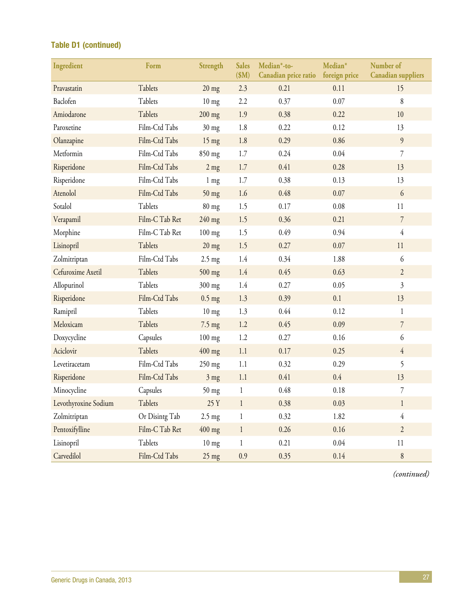### Table D1 (continued)

| Ingredient           | Form           | Strength         | <b>Sales</b><br>\$M\$ | Median*-to-<br>Canadian price ratio | Median*<br>foreign price | Number of<br><b>Canadian suppliers</b> |
|----------------------|----------------|------------------|-----------------------|-------------------------------------|--------------------------|----------------------------------------|
| Pravastatin          | Tablets        | $20$ mg          | 2.3                   | 0.21                                | 0.11                     | 15                                     |
| Baclofen             | Tablets        | $10$ mg          | 2.2                   | 0.37                                | 0.07                     | $\,8\,$                                |
| Amiodarone           | Tablets        | $200$ mg         | 1.9                   | 0.38                                | 0.22                     | 10                                     |
| Paroxetine           | Film-Ctd Tabs  | $30$ mg          | 1.8                   | 0.22                                | 0.12                     | 13                                     |
| Olanzapine           | Film-Ctd Tabs  | $15$ mg          | 1.8                   | 0.29                                | 0.86                     | 9                                      |
| Metformin            | Film-Ctd Tabs  | 850 mg           | 1.7                   | 0.24                                | 0.04                     | $\overline{7}$                         |
| Risperidone          | Film-Ctd Tabs  | $2$ mg           | 1.7                   | 0.41                                | 0.28                     | 13                                     |
| Risperidone          | Film-Ctd Tabs  | $1 \text{ mg}$   | 1.7                   | 0.38                                | 0.13                     | 13                                     |
| Atenolol             | Film-Ctd Tabs  | $50$ mg          | 1.6                   | 0.48                                | 0.07                     | 6                                      |
| Sotalol              | Tablets        | $80$ mg          | 1.5                   | 0.17                                | 0.08                     | 11                                     |
| Verapamil            | Film-C Tab Ret | 240 mg           | 1.5                   | 0.36                                | 0.21                     | $\overline{7}$                         |
| Morphine             | Film-C Tab Ret | $100$ mg         | 1.5                   | 0.49                                | 0.94                     | $\overline{4}$                         |
| Lisinopril           | Tablets        | $20$ mg          | 1.5                   | 0.27                                | 0.07                     | 11                                     |
| Zolmitriptan         | Film-Ctd Tabs  | $2.5 \text{ mg}$ | 1.4                   | 0.34                                | 1.88                     | 6                                      |
| Cefuroxime Axetil    | Tablets        | 500 mg           | 1.4                   | 0.45                                | 0.63                     | $\overline{2}$                         |
| Allopurinol          | Tablets        | 300 mg           | 1.4                   | 0.27                                | 0.05                     | $\overline{\mathfrak{Z}}$              |
| Risperidone          | Film-Ctd Tabs  | $0.5$ mg         | 1.3                   | 0.39                                | 0.1                      | 13                                     |
| Ramipril             | Tablets        | $10 \text{ mg}$  | 1.3                   | 0.44                                | 0.12                     | $\mathbf{1}$                           |
| Meloxicam            | Tablets        | $7.5 \text{ mg}$ | 1.2                   | 0.45                                | 0.09                     | $\overline{7}$                         |
| Doxycycline          | Capsules       | $100$ mg         | 1.2                   | 0.27                                | 0.16                     | 6                                      |
| Aciclovir            | Tablets        | $400$ mg         | 1.1                   | 0.17                                | 0.25                     | $\overline{4}$                         |
| Levetiracetam        | Film-Ctd Tabs  | 250 mg           | 1.1                   | 0.32                                | 0.29                     | 5                                      |
| Risperidone          | Film-Ctd Tabs  | 3 mg             | 1.1                   | 0.41                                | $0.4\,$                  | 13                                     |
| Minocycline          | Capsules       | 50 mg            | $\mathbf{1}$          | 0.48                                | 0.18                     | $\overline{7}$                         |
| Levothyroxine Sodium | Tablets        | 25 Y             | $\mathbf{1}$          | 0.38                                | 0.03                     | $\mathbf{1}$                           |
| Zolmitriptan         | Or Disintg Tab | $2.5 \text{ mg}$ | $\mathbf{1}$          | 0.32                                | 1.82                     | $\overline{4}$                         |
| Pentoxifylline       | Film-C Tab Ret | $400$ mg         | $\mathbf{1}$          | 0.26                                | 0.16                     | $\overline{2}$                         |
| Lisinopril           | Tablets        | $10$ mg          | $\mathbf{1}$          | 0.21                                | 0.04                     | 11                                     |
| Carvedilol           | Film-Ctd Tabs  | $25$ mg          | 0.9                   | 0.35                                | 0.14                     | $\,8$                                  |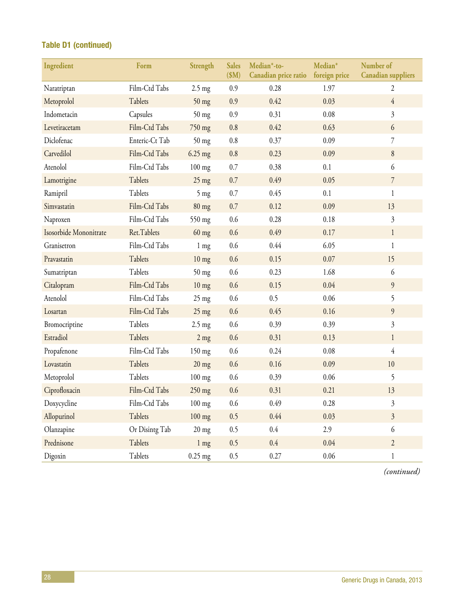### Table D1 (continued)

| Ingredient             | Form           | Strength         | <b>Sales</b><br>\$M\$ | Median*-to-<br>Canadian price ratio | Median*<br>foreign price | Number of<br><b>Canadian suppliers</b> |
|------------------------|----------------|------------------|-----------------------|-------------------------------------|--------------------------|----------------------------------------|
| Naratriptan            | Film-Ctd Tabs  | $2.5$ mg         | 0.9                   | 0.28                                | 1.97                     | $\overline{2}$                         |
| Metoprolol             | Tablets        | $50$ mg          | 0.9                   | 0.42                                | 0.03                     | $\overline{4}$                         |
| Indometacin            | Capsules       | $50$ mg          | 0.9                   | 0.31                                | 0.08                     | $\mathfrak{Z}$                         |
| Levetiracetam          | Film-Ctd Tabs  | 750 mg           | 0.8                   | 0.42                                | 0.63                     | 6                                      |
| Diclofenac             | Enteric-Ct Tab | $50$ mg          | 0.8                   | 0.37                                | 0.09                     | $\overline{7}$                         |
| Carvedilol             | Film-Ctd Tabs  | $6.25$ mg        | 0.8                   | 0.23                                | 0.09                     | $\, 8$                                 |
| Atenolol               | Film-Ctd Tabs  | $100$ mg         | 0.7                   | 0.38                                | 0.1                      | 6                                      |
| Lamotrigine            | Tablets        | $25$ mg          | 0.7                   | 0.49                                | 0.05                     | $7\overline{ }$                        |
| Ramipril               | Tablets        | $5$ mg           | 0.7                   | 0.45                                | 0.1                      | $\mathbf{1}$                           |
| Simvastatin            | Film-Ctd Tabs  | $80$ mg          | 0.7                   | 0.12                                | 0.09                     | 13                                     |
| Naproxen               | Film-Ctd Tabs  | 550 mg           | 0.6                   | 0.28                                | 0.18                     | $\overline{3}$                         |
| Isosorbide Mononitrate | Ret.Tablets    | $60$ mg          | 0.6                   | 0.49                                | 0.17                     | $\mathbf{1}$                           |
| Granisetron            | Film-Ctd Tabs  | $1 \text{ mg}$   | 0.6                   | 0.44                                | 6.05                     | $\mathbf{1}$                           |
| Pravastatin            | Tablets        | $10$ mg          | 0.6                   | 0.15                                | 0.07                     | 15                                     |
| Sumatriptan            | Tablets        | $50$ mg          | 0.6                   | 0.23                                | 1.68                     | 6                                      |
| Citalopram             | Film-Ctd Tabs  | $10$ mg          | 0.6                   | 0.15                                | 0.04                     | 9                                      |
| Atenolol               | Film-Ctd Tabs  | $25$ mg          | 0.6                   | 0.5                                 | 0.06                     | 5                                      |
| Losartan               | Film-Ctd Tabs  | $25$ mg          | 0.6                   | 0.45                                | 0.16                     | 9                                      |
| Bromocriptine          | Tablets        | $2.5 \text{ mg}$ | 0.6                   | 0.39                                | 0.39                     | $\mathfrak{Z}$                         |
| Estradiol              | Tablets        | $2$ mg           | 0.6                   | 0.31                                | 0.13                     | $\mathbf{1}$                           |
| Propafenone            | Film-Ctd Tabs  | 150 mg           | 0.6                   | 0.24                                | 0.08                     | $\overline{4}$                         |
| Lovastatin             | Tablets        | $20$ mg          | 0.6                   | 0.16                                | 0.09                     | 10                                     |
| Metoprolol             | Tablets        | $100$ mg         | 0.6                   | 0.39                                | 0.06                     | 5                                      |
| Ciprofloxacin          | Film-Ctd Tabs  | $250$ mg         | 0.6                   | 0.31                                | 0.21                     | 13                                     |
| Doxycycline            | Film-Ctd Tabs  | $100$ mg         | 0.6                   | 0.49                                | 0.28                     | $\mathfrak{Z}$                         |
| Allopurinol            | Tablets        | $100$ mg         | 0.5                   | 0.44                                | 0.03                     | $\mathfrak{Z}$                         |
| Olanzapine             | Or Disintg Tab | $20$ mg          | 0.5                   | 0.4                                 | 2.9                      | 6                                      |
| Prednisone             | Tablets        | $1$ mg           | 0.5                   | 0.4                                 | 0.04                     | $\overline{2}$                         |
| Digoxin                | Tablets        | $0.25$ mg        | 0.5                   | 0.27                                | 0.06                     | $\mathbf{1}$                           |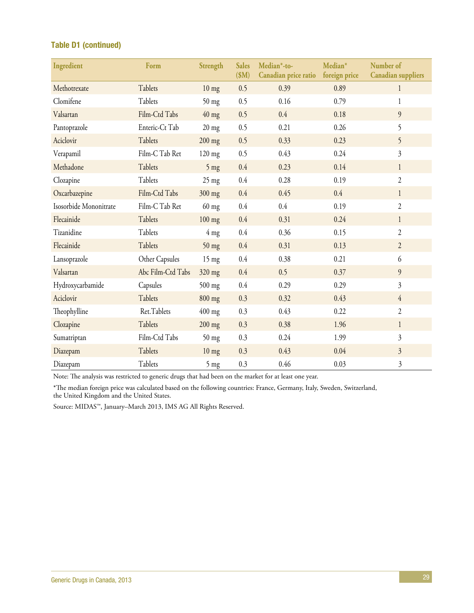### Table D1 (continued)

| Ingredient             | Form              | Strength        | <b>Sales</b><br>\$M\$ | Median*-to-<br>Canadian price ratio | Median*<br>foreign price | Number of<br><b>Canadian suppliers</b> |
|------------------------|-------------------|-----------------|-----------------------|-------------------------------------|--------------------------|----------------------------------------|
| Methotrexate           | Tablets           | $10$ mg         | 0.5                   | 0.39                                | 0.89                     | 1                                      |
| Clomifene              | Tablets           | $50$ mg         | 0.5                   | 0.16                                | 0.79                     | 1                                      |
| Valsartan              | Film-Ctd Tabs     | $40$ mg         | 0.5                   | 0.4                                 | 0.18                     | 9                                      |
| Pantoprazole           | Enteric-Ct Tab    | $20$ mg         | 0.5                   | 0.21                                | 0.26                     | 5                                      |
| Aciclovir              | Tablets           | $200$ mg        | 0.5                   | 0.33                                | 0.23                     | 5                                      |
| Verapamil              | Film-C Tab Ret    | $120$ mg        | 0.5                   | 0.43                                | 0.24                     | $\overline{3}$                         |
| Methadone              | Tablets           | $5 \text{ mg}$  | 0.4                   | 0.23                                | 0.14                     | $\mathbf{1}$                           |
| Clozapine              | Tablets           | $25$ mg         | 0.4                   | 0.28                                | 0.19                     | $\overline{2}$                         |
| Oxcarbazepine          | Film-Ctd Tabs     | 300 mg          | 0.4                   | 0.45                                | 0.4                      | $\mathbf{1}$                           |
| Isosorbide Mononitrate | Film-C Tab Ret    | $60$ mg         | 0.4                   | 0.4                                 | 0.19                     | $\overline{2}$                         |
| Flecainide             | Tablets           | $100$ mg        | 0.4                   | 0.31                                | 0.24                     | $\mathbf{1}$                           |
| Tizanidine             | Tablets           | $4 \text{ mg}$  | 0.4                   | 0.36                                | 0.15                     | $\overline{2}$                         |
| Flecainide             | Tablets           | $50$ mg         | 0.4                   | 0.31                                | 0.13                     | $\overline{2}$                         |
| Lansoprazole           | Other Capsules    | $15 \text{ mg}$ | 0.4                   | 0.38                                | 0.21                     | 6                                      |
| Valsartan              | Abc Film-Ctd Tabs | 320 mg          | 0.4                   | 0.5                                 | 0.37                     | 9                                      |
| Hydroxycarbamide       | Capsules          | $500$ mg        | 0.4                   | 0.29                                | 0.29                     | $\mathfrak{Z}$                         |
| Aciclovir              | Tablets           | 800 mg          | 0.3                   | 0.32                                | 0.43                     | $\overline{4}$                         |
| Theophylline           | Ret.Tablets       | $400$ mg        | 0.3                   | 0.43                                | 0.22                     | $\mathfrak{2}$                         |
| Clozapine              | Tablets           | $200$ mg        | 0.3                   | 0.38                                | 1.96                     | $\mathbf{1}$                           |
| Sumatriptan            | Film-Ctd Tabs     | $50$ mg         | 0.3                   | 0.24                                | 1.99                     | $\mathfrak{Z}$                         |
| Diazepam               | Tablets           | $10 \text{ mg}$ | 0.3                   | 0.43                                | 0.04                     | $\overline{3}$                         |
| Diazepam               | Tablets           | $5$ mg          | 0.3                   | 0.46                                | 0.03                     | $\mathfrak{Z}$                         |

Note: The analysis was restricted to generic drugs that had been on the market for at least one year.

\*The median foreign price was calculated based on the following countries: France, Germany, Italy, Sweden, Switzerland, the United Kingdom and the United States.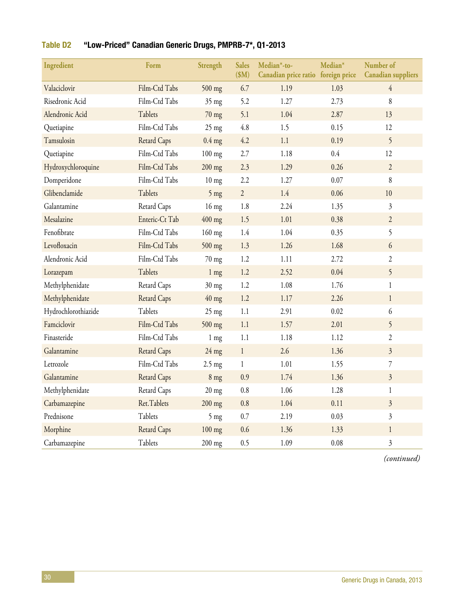| Ingredient          | Form               | Strength         | <b>Sales</b><br>\$M\$ | Median*-to-<br>Canadian price ratio foreign price | Median* | Number of<br><b>Canadian suppliers</b> |
|---------------------|--------------------|------------------|-----------------------|---------------------------------------------------|---------|----------------------------------------|
| Valaciclovir        | Film-Ctd Tabs      | $500$ mg         | 6.7                   | 1.19                                              | 1.03    | $\overline{4}$                         |
| Risedronic Acid     | Film-Ctd Tabs      | 35 mg            | 5.2                   | 1.27                                              | 2.73    | 8                                      |
| Alendronic Acid     | Tablets            | $70$ mg          | 5.1                   | 1.04                                              | 2.87    | 13                                     |
| Quetiapine          | Film-Ctd Tabs      | $25$ mg          | 4.8                   | 1.5                                               | 0.15    | 12                                     |
| Tamsulosin          | <b>Retard Caps</b> | $0.4$ mg         | 4.2                   | 1.1                                               | 0.19    | 5                                      |
| Quetiapine          | Film-Ctd Tabs      | $100$ mg         | 2.7                   | 1.18                                              | $0.4\,$ | 12                                     |
| Hydroxychloroquine  | Film-Ctd Tabs      | $200$ mg         | 2.3                   | 1.29                                              | 0.26    | $\overline{2}$                         |
| Domperidone         | Film-Ctd Tabs      | $10 \text{ mg}$  | 2.2                   | 1.27                                              | 0.07    | 8                                      |
| Glibenclamide       | Tablets            | $5$ mg           | $\overline{2}$        | 1.4                                               | 0.06    | 10                                     |
| Galantamine         | Retard Caps        | $16$ mg          | 1.8                   | 2.24                                              | 1.35    | $\overline{\mathfrak{Z}}$              |
| Mesalazine          | Enteric-Ct Tab     | $400$ mg         | 1.5                   | 1.01                                              | 0.38    | $\overline{2}$                         |
| Fenofibrate         | Film-Ctd Tabs      | $160$ mg         | 1.4                   | 1.04                                              | 0.35    | 5                                      |
| Levofloxacin        | Film-Ctd Tabs      | $500$ mg         | 1.3                   | 1.26                                              | 1.68    | 6                                      |
| Alendronic Acid     | Film-Ctd Tabs      | $70$ mg          | 1.2                   | 1.11                                              | 2.72    | $\overline{c}$                         |
| Lorazepam           | Tablets            | $1 \text{ mg}$   | 1.2                   | 2.52                                              | 0.04    | 5                                      |
| Methylphenidate     | Retard Caps        | $30$ mg          | 1.2                   | 1.08                                              | 1.76    | $\mathbf{1}$                           |
| Methylphenidate     | <b>Retard Caps</b> | $40$ mg          | 1.2                   | 1.17                                              | 2.26    | $\mathbf{1}$                           |
| Hydrochlorothiazide | Tablets            | $25 \text{ mg}$  | 1.1                   | 2.91                                              | 0.02    | 6                                      |
| Famciclovir         | Film-Ctd Tabs      | $500$ mg         | 1.1                   | 1.57                                              | 2.01    | 5                                      |
| Finasteride         | Film-Ctd Tabs      | $1 \text{ mg}$   | 1.1                   | 1.18                                              | 1.12    | $\overline{c}$                         |
| Galantamine         | <b>Retard Caps</b> | $24$ mg          | $\mathbf{1}$          | 2.6                                               | 1.36    | $\overline{\mathfrak{Z}}$              |
| Letrozole           | Film-Ctd Tabs      | $2.5 \text{ mg}$ | $\mathbf{1}$          | 1.01                                              | 1.55    | 7                                      |
| Galantamine         | <b>Retard Caps</b> | $8$ mg           | 0.9                   | 1.74                                              | 1.36    | $\overline{\mathfrak{Z}}$              |
| Methylphenidate     | Retard Caps        | $20$ mg          | 0.8                   | 1.06                                              | 1.28    | $\mathbf{1}$                           |
| Carbamazepine       | Ret.Tablets        | $200$ mg         | 0.8                   | 1.04                                              | 0.11    | $\overline{3}$                         |
| Prednisone          | Tablets            | $5 \text{ mg}$   | 0.7                   | 2.19                                              | 0.03    | $\mathfrak{Z}$                         |
| Morphine            | <b>Retard Caps</b> | $100$ mg         | 0.6                   | 1.36                                              | 1.33    | $\mathbf{1}$                           |
| Carbamazepine       | Tablets            | 200 mg           | 0.5                   | 1.09                                              | 0.08    | $\overline{3}$                         |

### Table D2 "Low-Priced" Canadian Generic Drugs, PMPRB-7\*, Q1-2013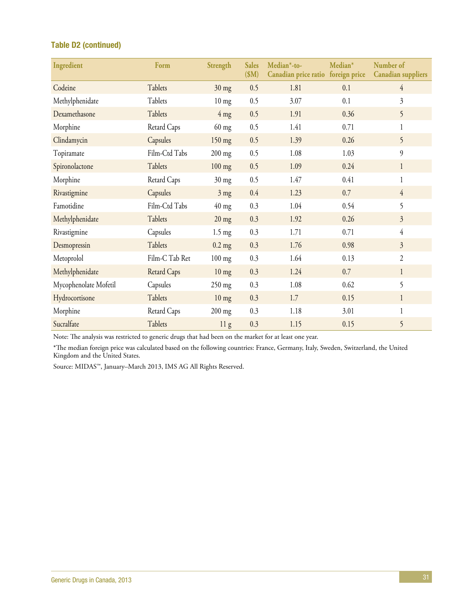### Table D2 (continued)

| Ingredient            | Form               | Strength         | <b>Sales</b><br>\$M\$ | $Median*-to-$<br>Canadian price ratio foreign price | Median* | Number of<br><b>Canadian</b> suppliers |
|-----------------------|--------------------|------------------|-----------------------|-----------------------------------------------------|---------|----------------------------------------|
| Codeine               | Tablets            | $30 \text{ mg}$  | 0.5                   | 1.81                                                | 0.1     | $\overline{4}$                         |
| Methylphenidate       | Tablets            | $10 \text{ mg}$  | 0.5                   | 3.07                                                | 0.1     | $\mathfrak{Z}$                         |
| Dexamethasone         | Tablets            | $4 \text{ mg}$   | 0.5                   | 1.91                                                | 0.36    | 5                                      |
| Morphine              | Retard Caps        | $60$ mg          | 0.5                   | 1.41                                                | 0.71    | 1                                      |
| Clindamycin           | Capsules           | $150$ mg         | 0.5                   | 1.39                                                | 0.26    | 5                                      |
| Topiramate            | Film-Ctd Tabs      | $200$ mg         | 0.5                   | 1.08                                                | 1.03    | $\overline{9}$                         |
| Spironolactone        | Tablets            | $100$ mg         | 0.5                   | 1.09                                                | 0.24    | $\mathbf{1}$                           |
| Morphine              | Retard Caps        | $30 \text{ mg}$  | 0.5                   | 1.47                                                | 0.41    | $\mathbf{1}$                           |
| Rivastigmine          | Capsules           | $3 \text{ mg}$   | 0.4                   | 1.23                                                | 0.7     | $\overline{4}$                         |
| Famotidine            | Film-Ctd Tabs      | $40$ mg          | 0.3                   | 1.04                                                | 0.54    | 5                                      |
| Methylphenidate       | Tablets            | $20 \text{ mg}$  | 0.3                   | 1.92                                                | 0.26    | $\overline{3}$                         |
| Rivastigmine          | Capsules           | $1.5 \text{ mg}$ | 0.3                   | 1.71                                                | 0.71    | $\overline{4}$                         |
| Desmopressin          | Tablets            | $0.2$ mg         | 0.3                   | 1.76                                                | 0.98    | $\overline{3}$                         |
| Metoprolol            | Film-C Tab Ret     | $100$ mg         | 0.3                   | 1.64                                                | 0.13    | $\overline{2}$                         |
| Methylphenidate       | <b>Retard Caps</b> | $10 \text{ mg}$  | 0.3                   | 1.24                                                | 0.7     | $\mathbf{1}$                           |
| Mycophenolate Mofetil | Capsules           | $250$ mg         | 0.3                   | 1.08                                                | 0.62    | 5                                      |
| Hydrocortisone        | Tablets            | $10 \text{ mg}$  | 0.3                   | 1.7                                                 | 0.15    | $\mathbf{1}$                           |
| Morphine              | Retard Caps        | $200$ mg         | 0.3                   | 1.18                                                | 3.01    | $\mathbf{1}$                           |
| Sucralfate            | Tablets            | 11 <sub>g</sub>  | 0.3                   | 1.15                                                | 0.15    | 5                                      |

Note: The analysis was restricted to generic drugs that had been on the market for at least one year.

\*The median foreign price was calculated based on the following countries: France, Germany, Italy, Sweden, Switzerland, the United Kingdom and the United States.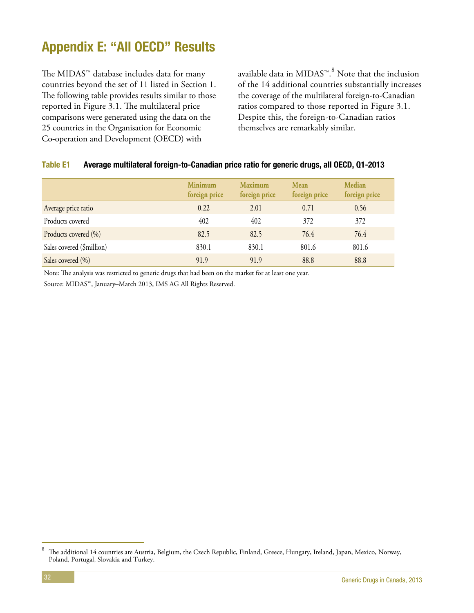# <span id="page-37-0"></span>Appendix E: "All OECD" Results

The MIDAS™ database includes data for many countries beyond the set of 11 listed in Section 1. The following table provides results similar to those reported in Figure 3.1. The multilateral price comparisons were generated using the data on the 25 countries in the Organisation for Economic Co-operation and Development (OECD) with

available data in MIDAS™. $^8$  Note that the inclusion of the 14 additional countries substantially increases the coverage of the multilateral foreign-to-Canadian ratios compared to those reported in Figure 3.1. Despite this, the foreign-to-Canadian ratios themselves are remarkably similar.

#### Table E1 Average multilateral foreign-to-Canadian price ratio for generic drugs, all OECD, Q1-2013

|                           | <b>Minimum</b><br>foreign price | <b>Maximum</b><br>foreign price | <b>Mean</b><br>foreign price | <b>Median</b><br>foreign price |
|---------------------------|---------------------------------|---------------------------------|------------------------------|--------------------------------|
| Average price ratio       | 0.22                            | 2.01                            | 0.71                         | 0.56                           |
| Products covered          | 402                             | 402                             | 372                          | 372                            |
| Products covered (%)      | 82.5                            | 82.5                            | 76.4                         | 76.4                           |
| Sales covered (\$million) | 830.1                           | 830.1                           | 801.6                        | 801.6                          |
| Sales covered (%)         | 91.9                            | 91.9                            | 88.8                         | 88.8                           |

Note: The analysis was restricted to generic drugs that had been on the market for at least one year.

<sup>8</sup> The additional 14 countries are Austria, Belgium, the Czech Republic, Finland, Greece, Hungary, Ireland, Japan, Mexico, Norway, Poland, Portugal, Slovakia and Turkey.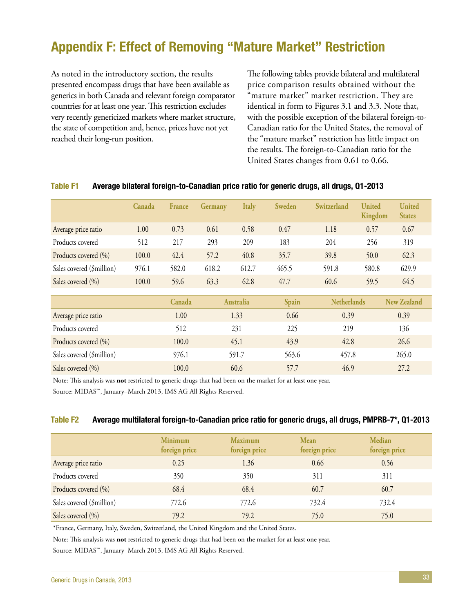# <span id="page-38-0"></span>Appendix F: Effect of Removing "Mature Market" Restriction

As noted in the introductory section, the results presented encompass drugs that have been available as generics in both Canada and relevant foreign comparator countries for at least one year. This restriction excludes very recently genericized markets where market structure, the state of competition and, hence, prices have not yet reached their long-run position.

The following tables provide bilateral and multilateral price comparison results obtained without the "mature market" market restriction. They are identical in form to Figures 3.1 and 3.3. Note that, with the possible exception of the bilateral foreign-to-Canadian ratio for the United States, the removal of the "mature market" restriction has little impact on the results. The foreign-to-Canadian ratio for the United States changes from 0.61 to 0.66.

|                           | Canada | <b>France</b> | Germany | <b>Italy</b>     | <b>Sweden</b> | Switzerland        | <b>United</b><br>Kingdom | <b>United</b><br><b>States</b> |
|---------------------------|--------|---------------|---------|------------------|---------------|--------------------|--------------------------|--------------------------------|
| Average price ratio       | 1.00   | 0.73          | 0.61    | 0.58             | 0.47          | 1.18               | 0.57                     | 0.67                           |
| Products covered          | 512    | 217           | 293     | 209              | 183           | 204                | 256                      | 319                            |
| Products covered (%)      | 100.0  | 42.4          | 57.2    | 40.8             | 35.7          | 39.8               | 50.0                     | 62.3                           |
| Sales covered (\$million) | 976.1  | 582.0         | 618.2   | 612.7            | 465.5         | 591.8              | 580.8                    | 629.9                          |
| Sales covered (%)         | 100.0  | 59.6          | 63.3    | 62.8             | 47.7          | 60.6               | 59.5                     | 64.5                           |
|                           |        | Canada        |         | <b>Australia</b> | Spain         | <b>Netherlands</b> |                          | <b>New Zealand</b>             |
| Average price ratio       |        | 1.00          |         | 1.33             | 0.66          | 0.39               |                          | 0.39                           |
| Products covered          |        | 512           |         | 231              | 225           | 219                |                          | 136                            |
| Products covered (%)      |        | 100.0         |         | 45.1             | 43.9          | 42.8               |                          | 26.6                           |
| Sales covered (\$million) |        | 976.1         |         | 591.7            | 563.6         | 457.8              |                          | 265.0                          |
| Sales covered (%)         |        | 100.0         |         | 60.6             | 57.7          | 46.9               |                          | 27.2                           |

#### Table F1 Average bilateral foreign-to-Canadian price ratio for generic drugs, all drugs, Q1-2013

Note: This analysis was **not** restricted to generic drugs that had been on the market for at least one year.

Source: MIDAS™, January–March 2013, IMS AG All Rights Reserved.

#### Table F2 Average multilateral foreign-to-Canadian price ratio for generic drugs, all drugs, PMPRB-7\*, Q1-2013

|                           | <b>Minimum</b><br>foreign price | <b>Maximum</b><br>foreign price | <b>Mean</b><br>foreign price | Median<br>foreign price |  |
|---------------------------|---------------------------------|---------------------------------|------------------------------|-------------------------|--|
| Average price ratio       | 0.25                            | 1.36                            | 0.66                         | 0.56                    |  |
| Products covered          | 350                             | 350                             | 311                          | 311                     |  |
| Products covered (%)      | 68.4                            | 68.4                            | 60.7                         | 60.7                    |  |
| Sales covered (\$million) | 772.6                           | 772.6                           | 732.4                        | 732.4                   |  |
| Sales covered (%)         | 79.2                            | 79.2                            | 75.0                         | 75.0                    |  |

\*France, Germany, Italy, Sweden, Switzerland, the United Kingdom and the United States.

Note: This analysis was **not** restricted to generic drugs that had been on the market for at least one year.